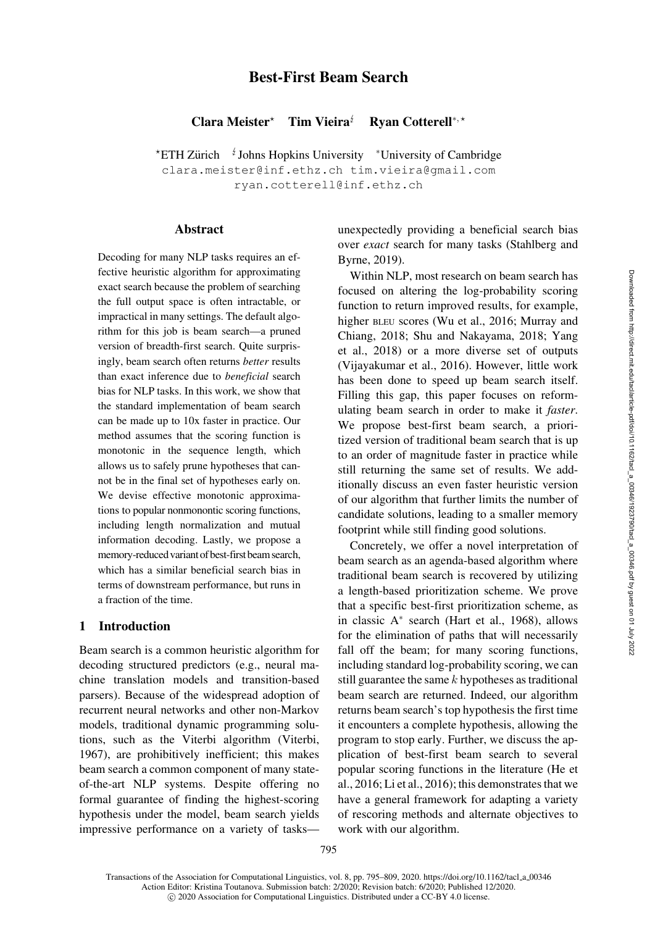# Best-First Beam Search

Clara Meister $*$ Tim Vieira $\mathbf{\dot{z}}$ Ryan Cotterell<sup>∗</sup>, -

\*ETH Zürich <sup>↓</sup>Johns Hopkins University \*University of Cambridge [clara.meister@inf.ethz.ch](mailto:clara.meister@inf.ethz.ch) [tim.vieira@gmail.com](mailto:tim.vieira@gmail.com) [ryan.cotterell@inf.ethz.ch](mailto:ryan.cotterell@inf.ethz.ch)

### Abstract

Decoding for many NLP tasks requires an effective heuristic algorithm for approximating exact search because the problem of searching the full output space is often intractable, or impractical in many settings. The default algorithm for this job is beam search—a pruned version of breadth-first search. Quite surprisingly, beam search often returns *better* results than exact inference due to *beneficial* search bias for NLP tasks. In this work, we show that the standard implementation of beam search can be made up to 10x faster in practice. Our method assumes that the scoring function is monotonic in the sequence length, which allows us to safely prune hypotheses that cannot be in the final set of hypotheses early on. We devise effective monotonic approximations to popular nonmonontic scoring functions, including length normalization and mutual information decoding. Lastly, we propose a memory-reduced variant of best-first beam search, which has a similar beneficial search bias in terms of downstream performance, but runs in a fraction of the time.

## 1 Introduction

Beam search is a common heuristic algorithm for decoding structured predictors (e.g., neural machine translation models and transition-based parsers). Because of the widespread adoption of recurrent neural networks and other non-Markov models, traditional dynamic programming solutions, such as the Viterbi algorithm [\(Viterbi,](#page-14-0) [1967](#page-14-0)), are prohibitively inefficient; this makes beam search a common component of many stateof-the-art NLP systems. Despite offering no formal guarantee of finding the highest-scoring hypothesis under the model, beam search yields impressive performance on a variety of tasksunexpectedly providing a beneficial search bias over *exact* [search for many tasks \(](#page-13-0)Stahlberg and Byrne, [2019\)](#page-13-0).

Within NLP, most research on beam search has focused on altering the log-probability scoring function to return improved results, for example, higher BLEU [scores](#page-12-0) [\(Wu et al.](#page-14-1)[,](#page-12-0) [2016](#page-14-1)[;](#page-12-0) Murray and Chia[ng,](#page-14-2) [2018](#page-12-0)[;](#page-14-2) [Shu and Nakayama](#page-13-1)[,](#page-14-2) [2018](#page-13-1)[;](#page-14-2) Yang et al., [2018\)](#page-14-2) or a more diverse set of outputs [\(Vijayakumar et al.](#page-14-3), [2016\)](#page-14-3). However, little work has been done to speed up beam search itself. Filling this gap, this paper focuses on reformulating beam search in order to make it *faster*. We propose best-first beam search, a prioritized version of traditional beam search that is up to an order of magnitude faster in practice while still returning the same set of results. We additionally discuss an even faster heuristic version of our algorithm that further limits the number of candidate solutions, leading to a smaller memory footprint while still finding good solutions.

Concretely, we offer a novel interpretation of beam search as an agenda-based algorithm where traditional beam search is recovered by utilizing a length-based prioritization scheme. We prove that a specific best-first prioritization scheme, as in classic A<sup>∗</sup> search [\(Hart et al.](#page-12-1), [1968\)](#page-12-1), allows for the elimination of paths that will necessarily fall off the beam; for many scoring functions, including standard log-probability scoring, we can still guarantee the same  $k$  hypotheses as traditional beam search are returned. Indeed, our algorithm returns beam search's top hypothesis the first time it encounters a complete hypothesis, allowing the program to stop early. Further, we discuss the application of best-first beam search to several p[opular scoring functions in the literature \(](#page-12-2)He et al., [2016;](#page-12-2) [Li et al., 2016](#page-12-3)); this demonstrates that we have a general framework for adapting a variety of rescoring methods and alternate objectives to work with our algorithm.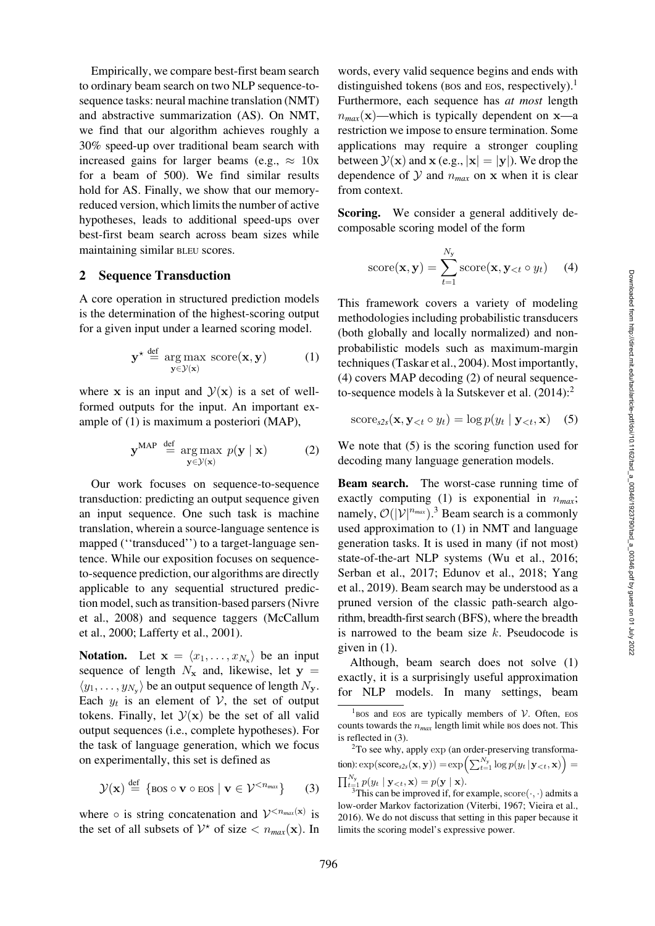Empirically, we compare best-first beam search to ordinary beam search on two NLP sequence-tosequence tasks: neural machine translation (NMT) and abstractive summarization (AS). On NMT, we find that our algorithm achieves roughly a 30% speed-up over traditional beam search with increased gains for larger beams (e.g.,  $\approx 10x$ ) for a beam of 500). We find similar results hold for AS. Finally, we show that our memoryreduced version, which limits the number of active hypotheses, leads to additional speed-ups over best-first beam search across beam sizes while maintaining similar BLEU scores.

### 2 Sequence Transduction

A core operation in structured prediction models is the determination of the highest-scoring output for a given input under a learned scoring model.

<span id="page-1-0"></span>
$$
\mathbf{y}^{\star} \stackrel{\text{def}}{=} \arg \max_{\mathbf{y} \in \mathcal{Y}(\mathbf{x})} \text{score}(\mathbf{x}, \mathbf{y}) \tag{1}
$$

where **x** is an input and  $\mathcal{Y}(\mathbf{x})$  is a set of wellformed outputs for the input. An important example of [\(1\)](#page-1-0) is maximum a posteriori (MAP),

<span id="page-1-3"></span>
$$
\mathbf{y}^{\text{MAP}} \stackrel{\text{def}}{=} \underset{\mathbf{y} \in \mathcal{Y}(\mathbf{x})}{\arg \max} p(\mathbf{y} \mid \mathbf{x}) \tag{2}
$$

Our work focuses on sequence-to-sequence transduction: predicting an output sequence given an input sequence. One such task is machine translation, wherein a source-language sentence is mapped ("transduced") to a target-language sentence. While our exposition focuses on sequenceto-sequence prediction, our algorithms are directly applicable to any sequential structured prediction [model, such as transition-based parsers \(](#page-13-2)Nivre et a[l.,](#page-12-4) [2008](#page-13-2)[\)](#page-12-4) [and](#page-12-4) [sequence](#page-12-4) [taggers](#page-12-4) [\(](#page-12-4)McCallum et al., [2000;](#page-12-4) [Lafferty et al., 2001](#page-12-5)).

**Notation.** Let  $\mathbf{x} = \langle x_1, \ldots, x_N \rangle$  be an input sequence of length  $N_x$  and, likewise, let  $y =$  $\langle y_1, \ldots, y_{N_v} \rangle$  be an output sequence of length  $N_y$ . Each  $y_t$  is an element of  $V$ , the set of output tokens. Finally, let  $\mathcal{Y}(x)$  be the set of all valid output sequences (i.e., complete hypotheses). For the task of language generation, which we focus on experimentally, this set is defined as

<span id="page-1-7"></span>
$$
\mathcal{Y}(\mathbf{x}) \stackrel{\text{def}}{=} \{ \text{bos} \circ \mathbf{v} \circ \text{eos} \mid \mathbf{v} \in \mathcal{V}^{< n_{max}} \} \qquad (3)
$$

where  $\circ$  is string concatenation and  $V^{< n_{max}(\mathbf{x})}$  is the set of all subsets of  $V^*$  of size  $\langle n_{max}(\mathbf{x})$ . In

words, every valid sequence begins and ends with distinguished tokens (BOS and EOS, respectively).<sup>1</sup> Furthermore, each sequence has *at most* length  $n_{max}(\mathbf{x})$ —which is typically dependent on **x**—a restriction we impose to ensure termination. Some applications may require a stronger coupling between  $\mathcal{Y}(\mathbf{x})$  and  $\mathbf{x}$  (e.g.,  $|\mathbf{x}| = |\mathbf{y}|$ ). We drop the dependence of  $Y$  and  $n_{max}$  on  $x$  when it is clear from context.

Scoring. We consider a general additively decomposable scoring model of the form

<span id="page-1-2"></span>score(
$$
\mathbf{x}, \mathbf{y}
$$
) =  $\sum_{t=1}^{N_y} \text{score}(\mathbf{x}, \mathbf{y}_{< t} \circ y_t)$  (4)

This framework covers a variety of modeling methodologies including probabilistic transducers (both globally and locally normalized) and nonprobabilistic models such as maximum-margin techniques [\(Taskar et al.](#page-13-3), [2004\)](#page-13-3). Most importantly, [\(4\)](#page-1-2) covers MAP decoding [\(2\)](#page-1-3) of neural sequence-to-sequence models à la [Sutskever et al.](#page-13-4)  $(2014)$  $(2014)$ :<sup>[2](#page-1-4)</sup>

<span id="page-1-5"></span>
$$
score_{s2s}(\mathbf{x}, \mathbf{y}_{<}; \circ y_t) = \log p(y_t | \mathbf{y}_{< t}, \mathbf{x}) \quad (5)
$$

We note that  $(5)$  is the scoring function used for decoding many language generation models.

Beam search. The worst-case running time of exactly computing  $(1)$  is exponential in  $n_{max}$ ; namely,  $\mathcal{O}(|V|^{n_{max}})$ .<sup>[3](#page-1-6)</sup> Beam search is a commonly used approximation to [\(1\)](#page-1-0) in NMT and language generation tasks. It is used in many (if not most) state-of-the-art NLP systems [\(Wu et al., 2016](#page-14-1); [Serban et al., 2017](#page-13-5)[;](#page-14-4) [Edunov et al.](#page-11-0)[,](#page-14-4) [2018](#page-11-0)[;](#page-14-4) Yang et al., [2019\)](#page-14-4). Beam search may be understood as a pruned version of the classic path-search algorithm, breadth-first search (BFS), where the breadth is narrowed to the beam size  $k$ . Pseudocode is given in [\(1\)](#page-2-0).

Although, beam search does not solve [\(1\)](#page-1-0) exactly, it is a surprisingly useful approximation for NLP models. In many settings, beam

<span id="page-1-4"></span>2To see why, apply exp (an order-preserving transforma- $\text{tion): } \exp(\text{score}_{s2s}(\mathbf{x}, \mathbf{y})) = \exp\left(\sum_{t=1}^{N_y} \log p(y_t | \mathbf{y}_{< t}, \mathbf{x})\right) =$  $\prod_{\substack{t=1 \ 3}}^{N_y} p(y_t | \mathbf{y}_{\lt t}, \mathbf{x}) = p(\mathbf{y} | \mathbf{x}).$ <br><sup>3</sup>This can be improved if, for example, score(·,·) admits a

<span id="page-1-1"></span><sup>&</sup>lt;sup>1</sup>BOS and EOS are typically members of V. Often, EOS counts towards the  $n_{max}$  length limit while Bos does not. This is reflected in [\(3\)](#page-1-7).

<span id="page-1-6"></span>low-order Markov factorization [\(Viterbi, 1967;](#page-14-0) [Vieira et al.](#page-14-5), [2016](#page-14-5)). We do not discuss that setting in this paper because it limits the scoring model's expressive power.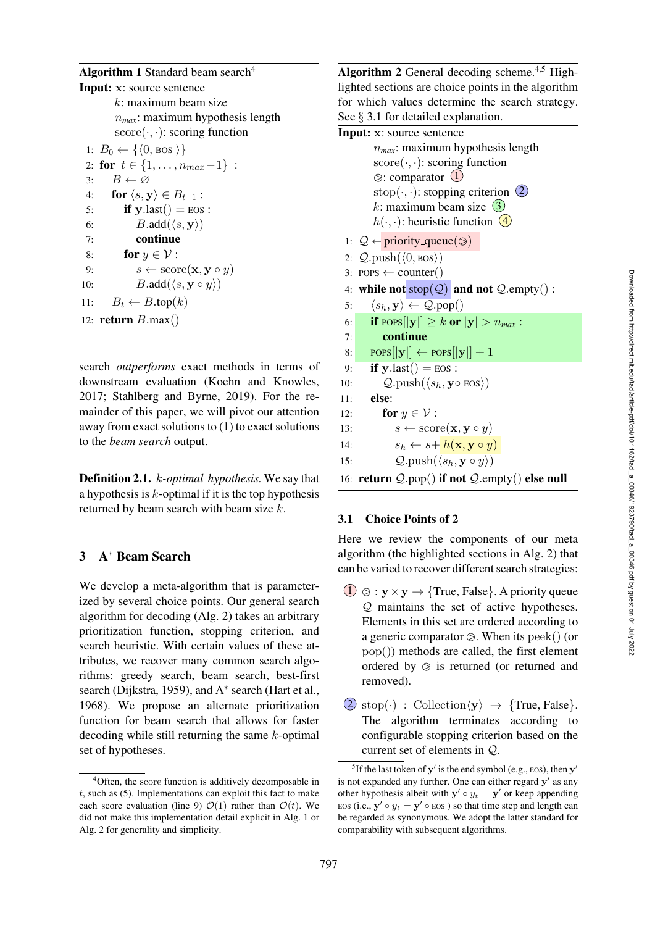# Algorithm 1 Standard beam search $4$

```
Input: x: source sentence
        k: maximum beam size
         nmax: maximum hypothesis length
         score(\cdot, \cdot): scoring function
 1: B_0 \leftarrow \{ \langle 0, \text{bos } \rangle \}2: for t \in \{1, \ldots, n_{max}-1\}:
3: B \leftarrow \varnothing4: for \langle s, \mathbf{y} \rangle \in B_{t-1}:
5: if y.last() = EOS :
6: B.add(\langle s, \mathbf{y} \rangle)7: continue
8: for y \in \mathcal{V}:
9: s \leftarrow \text{score}(\mathbf{x}, \mathbf{y} \circ y)10: B.add(\langle s, \mathbf{y} \circ y \rangle)11: B_t \leftarrow B.\text{top}(k)12: return B.max()
```
<span id="page-2-0"></span>search *outperforms* exact methods in terms of downstream evaluation [\(Koehn and Knowles,](#page-12-6) [2017](#page-12-6); [Stahlberg and Byrne](#page-13-0), [2019](#page-13-0)). For the remainder of this paper, we will pivot our attention away from exact solutions to [\(1\)](#page-1-0) to exact solutions to the *beam search* output.

<span id="page-2-2"></span>Definition 2.1. k*-optimal hypothesis.* We say that a hypothesis is  $k$ -optimal if it is the top hypothesis returned by beam search with beam size  $k$ .

## 3 A<sup>∗</sup> Beam Search

We develop a meta-algorithm that is parameterized by several choice points. Our general search algorithm for decoding (Alg. [2\)](#page-2-1) takes an arbitrary prioritization function, stopping criterion, and search heuristic. With certain values of these attributes, we recover many common search algorithms: greedy search, beam search, best-first search [\(Dijkstra, 1959\)](#page-11-1), and A<sup>∗</sup> search [\(Hart et al.,](#page-12-1) [1968](#page-12-1)). We propose an alternate prioritization function for beam search that allows for faster decoding while still returning the same  $k$ -optimal set of hypotheses.

Algorithm 2 General decoding scheme.<sup>4,5</sup> Highlighted sections are choice points in the algorithm for which values determine the search strategy. See § [3.1](#page-2-3) for detailed explanation.

#### Input: **x**: source sentence

n*max*: maximum hypothesis length  $score(\cdot, \cdot)$ : scoring function  $\otimes$ : comparator  $(1)$ stop $(\cdot, \cdot)$ : stopping criterion  $(2)$ k: maximum beam size  $(3)$  $h(\cdot, \cdot)$ : heuristic function  $\overline{4}$ 1:  $Q \leftarrow \text{priority\_queue}(\otimes)$ 2:  $Q.\text{push}(\langle 0,\text{bos}\rangle)$ 3: POPS  $\leftarrow$  counter() 4: while not  $stop(Q)$  and not  $Q$ .empty(): 5:  $\langle s_h, \mathbf{y} \rangle \leftarrow \mathcal{Q}.\text{pop}()$ 6: **if** POPS $\vert \vert \mathbf{y} \vert \vert \geq k$  or  $\vert \mathbf{y} \vert > n_{max}$ : 7: continue 8: POPS $\vert \vert \mathbf{y} \vert \vert \leftarrow \text{pops} \vert \vert \mathbf{y} \vert \vert +1$ 9: **if**  $\mathbf{v}.\text{last}() = \text{EOS}$ : 10:  $Q.\text{push}(\langle s_h, \mathbf{y} \circ \text{eos} \rangle)$ 11: else: 12: **for**  $y \in \mathcal{V}$ : 13:  $s \leftarrow \text{score}(\mathbf{x}, \mathbf{y} \circ y)$ 14:  $s_h \leftarrow s + h(\mathbf{x}, \mathbf{y} \circ y)$ 15:  $Q.\text{push}(\langle s_h, \mathbf{y} \circ y \rangle)$ 16: return Q.pop() if not Q.empty() else null

## <span id="page-2-3"></span><span id="page-2-1"></span>3.1 Choice Points of [2](#page-2-1)

Here we review the components of our meta algorithm (the highlighted sections in Alg. [2\)](#page-2-1) that can be varied to recover different search strategies:

- $\overline{1}$   $\otimes$  :  $y \times y \rightarrow$  {True, False}. A priority queue Q maintains the set of active hypotheses. Elements in this set are ordered according to a generic comparator  $\otimes$ . When its  $\text{peak}()$  (or pop()) methods are called, the first element ordered by  $\odot$  is returned (or returned and removed).
- $(2) \text{stop}(\cdot) : \text{Collection}(\mathbf{y}) \rightarrow \{\text{True}, \text{False}\}.$ The algorithm terminates according to configurable stopping criterion based on the current set of elements in Q.

<sup>4</sup>Often, the score function is additively decomposable in  $t$ , such as  $(5)$ . Implementations can exploit this fact to make each score evaluation (line [9\)](#page-2-2)  $\mathcal{O}(1)$  rather than  $\mathcal{O}(t)$ . We did not make this implementation detail explicit in Alg. [1](#page-2-0) or Alg. [2](#page-2-1) for generality and simplicity.

<sup>&</sup>lt;sup>5</sup>If the last token of  $y'$  is the end symbol (e.g., EOS), then  $y'$ is not expanded any further. One can either regard  $y'$  as any other hypothesis albeit with  $y' \circ y_t = y'$  or keep appending EOS (i.e.,  $y' \circ y_t = y' \circ \text{EOS}$ ) so that time step and length can be regarded as synonymous. We adopt the latter standard for comparability with subsequent algorithms.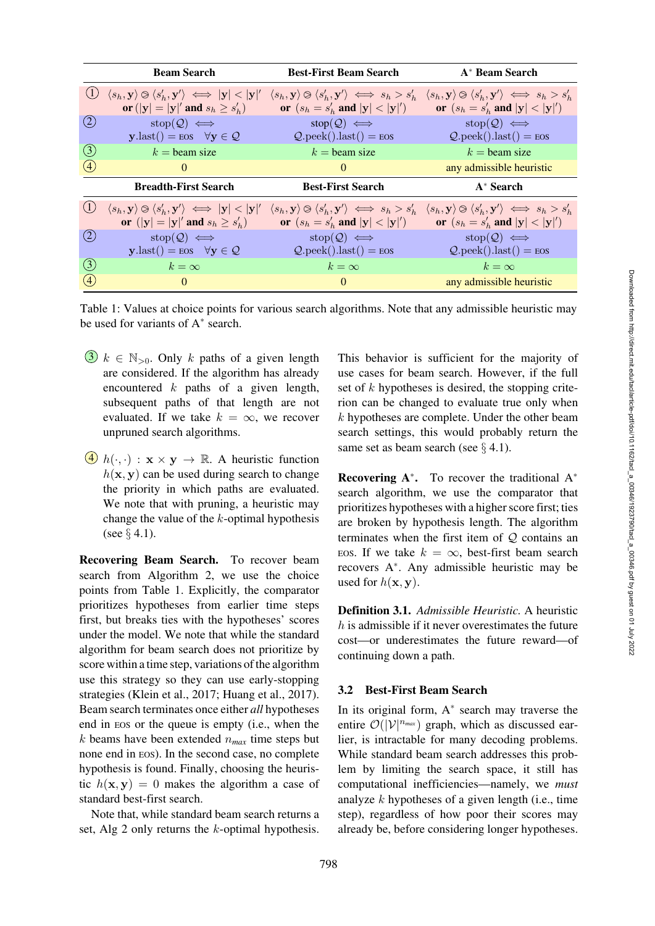|                   | <b>Beam Search</b>                                                                                            | <b>Best-First Beam Search</b>                                                               | A* Beam Search                                                                              |
|-------------------|---------------------------------------------------------------------------------------------------------------|---------------------------------------------------------------------------------------------|---------------------------------------------------------------------------------------------|
| (1)               | $\langle s_h, \mathbf{y} \rangle \otimes \langle s'_h, \mathbf{y'} \rangle \iff  \mathbf{y}  <  \mathbf{y'} $ | $\langle s_h, \mathbf{y} \rangle \otimes \langle s'_h, \mathbf{y}' \rangle \iff s_h > s'_h$ | $\langle s_h, \mathbf{y} \rangle \otimes \langle s'_h, \mathbf{y}' \rangle \iff s_h > s'_h$ |
|                   | or $( y  =  y '$ and $s_h \geq s'_h$                                                                          | or $(s_h = s'_h \text{ and }  \mathbf{y}  <  \mathbf{y} ')$                                 | or $(s_h = s'_h$ and $ \mathbf{y}  <  \mathbf{y} ')$                                        |
| $\left( 2\right)$ | $stop(Q) \iff$                                                                                                | $stop(Q) \iff$                                                                              | $stop(Q) \iff$                                                                              |
|                   | $\mathbf{y}.last() = \text{eos} \quad \forall \mathbf{y} \in \mathcal{Q}$                                     | $Q.\text{peak}().\text{last()} = \text{eos}$                                                | $Q.\text{peak}().\text{last()} = \text{eos}$                                                |
| (3)               | $k =$ beam size                                                                                               | $k =$ beam size                                                                             | $k =$ beam size                                                                             |
| (4)               | $\theta$                                                                                                      | $\Omega$                                                                                    | any admissible heuristic                                                                    |
|                   | <b>Breadth-First Search</b>                                                                                   | <b>Best-First Search</b>                                                                    | $A^*$ Search                                                                                |
|                   | $\langle s_h, \mathbf{y} \rangle \otimes \langle s'_h, \mathbf{y}' \rangle \iff  \mathbf{y}  <  \mathbf{y} '$ | $\langle s_h, \mathbf{y} \rangle \otimes \langle s'_h, \mathbf{y}' \rangle \iff s_h > s'_h$ | $\langle s_h, \mathbf{y} \rangle \otimes \langle s'_h, \mathbf{y}' \rangle \iff s_h > s'_h$ |
|                   | or $( y  =  y '$ and $s_h \geq s'_h$                                                                          | or $(s_h = s'_h \text{ and }  \mathbf{y}  <  \mathbf{y} ')$                                 | or $(s_h = s'_h \text{ and }  \mathbf{y}  <  \mathbf{y} ')$                                 |
| (2)               | $stop(Q) \iff$                                                                                                | $stop(Q) \iff$                                                                              | $stop(Q) \iff$                                                                              |
|                   | $\mathbf{y}.last() = \text{eos} \quad \forall \mathbf{y} \in \mathcal{Q}$                                     | $Q.\text{peak}().\text{last()} = \text{eos}$                                                | $Q.\text{peak}().\text{last()} = \text{eos}$                                                |
| (3)               | $k=\infty$                                                                                                    | $k = \infty$                                                                                | $k=\infty$                                                                                  |
| (4)               | $\Omega$                                                                                                      | $\Omega$                                                                                    | any admissible heuristic                                                                    |

<span id="page-3-0"></span>Table 1: Values at choice points for various search algorithms. Note that any admissible heuristic may be used for variants of A<sup>∗</sup> search.

- 3  $k \in \mathbb{N}_{>0}$ . Only k paths of a given length are considered. If the algorithm has already encountered  $k$  paths of a given length, subsequent paths of that length are not evaluated. If we take  $k = \infty$ , we recover unpruned search algorithms.
- $\overline{(4)}$   $h(\cdot, \cdot) : \mathbf{x} \times \mathbf{y} \rightarrow \mathbb{R}$ . A heuristic function  $h(\mathbf{x}, \mathbf{y})$  can be used during search to change the priority in which paths are evaluated. We note that with pruning, a heuristic may change the value of the  $k$ -optimal hypothesis (see § [4.1\)](#page-5-0).

Recovering Beam Search. To recover beam search from Algorithm [2,](#page-2-1) we use the choice points from [Table 1.](#page-3-0) Explicitly, the comparator prioritizes hypotheses from earlier time steps first, but breaks ties with the hypotheses' scores under the model. We note that while the standard algorithm for beam search does not prioritize by score within a time step, variations of the algorithm use this strategy so they can use early-stopping strategies [\(Klein et al., 2017;](#page-12-7) [Huang et al.](#page-12-8), [2017\)](#page-12-8). Beam search terminates once either *all* hypotheses end in EOS or the queue is empty (i.e., when the k beams have been extended  $n_{max}$  time steps but none end in EOS). In the second case, no complete hypothesis is found. Finally, choosing the heuristic  $h(\mathbf{x}, \mathbf{y}) = 0$  makes the algorithm a case of standard best-first search.

Note that, while standard beam search returns a set, Alg [2](#page-2-1) only returns the k-optimal hypothesis.

This behavior is sufficient for the majority of use cases for beam search. However, if the full set of  $k$  hypotheses is desired, the stopping criterion can be changed to evaluate true only when  $k$  hypotheses are complete. Under the other beam search settings, this would probably return the same set as beam search (see  $\S$  [4.1\)](#page-5-0).

**Recovering A<sup>\*</sup>.** To recover the traditional  $A^*$ search algorithm, we use the comparator that prioritizes hypotheses with a higher score first; ties are broken by hypothesis length. The algorithm terminates when the first item of Q contains an EOS. If we take  $k = \infty$ , best-first beam search recovers A∗. Any admissible heuristic may be used for  $h(\mathbf{x}, \mathbf{y})$ .

Definition 3.1. *Admissible Heuristic.* A heuristic  $h$  is admissible if it never overestimates the future cost—or underestimates the future reward—of continuing down a path.

#### 3.2 Best-First Beam Search

In its original form, A<sup>∗</sup> search may traverse the entire  $\mathcal{O}(|\mathcal{V}|^{n_{max}})$  graph, which as discussed earlier, is intractable for many decoding problems. While standard beam search addresses this problem by limiting the search space, it still has computational inefficiencies—namely, we *must* analyze  $k$  hypotheses of a given length (i.e., time step), regardless of how poor their scores may already be, before considering longer hypotheses.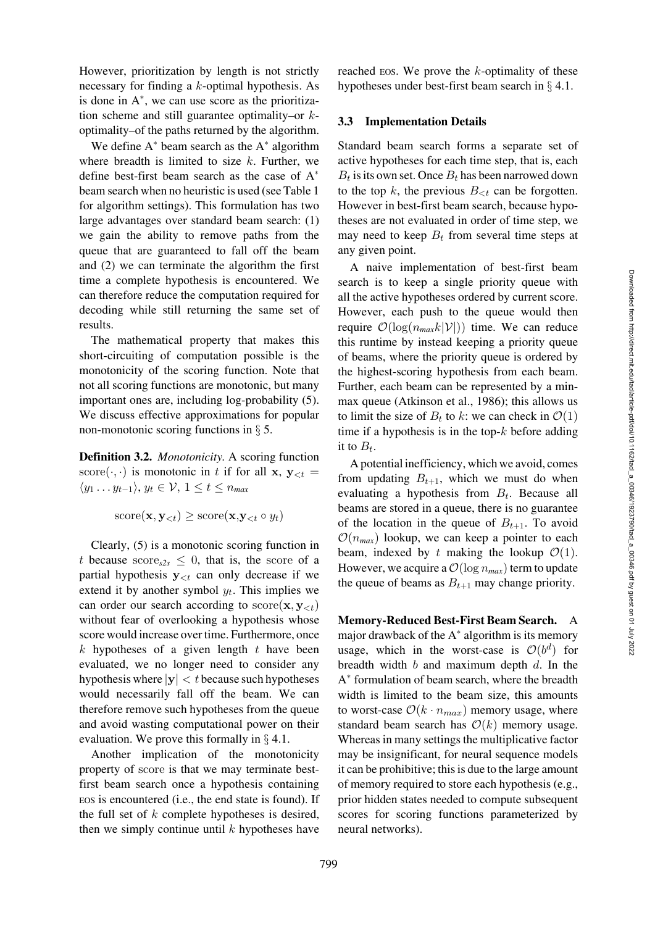However, prioritization by length is not strictly necessary for finding a k-optimal hypothesis. As is done in A<sup>∗</sup> , we can use score as the prioritization scheme and still guarantee optimality–or  $k$ optimality–of the paths returned by the algorithm.

We define  $A^*$  beam search as the  $A^*$  algorithm where breadth is limited to size  $k$ . Further, we define best-first beam search as the case of A<sup>∗</sup> beam search when no heuristic is used (see [Table 1](#page-3-0) for algorithm settings). This formulation has two large advantages over standard beam search: (1) we gain the ability to remove paths from the queue that are guaranteed to fall off the beam and (2) we can terminate the algorithm the first time a complete hypothesis is encountered. We can therefore reduce the computation required for decoding while still returning the same set of results.

The mathematical property that makes this short-circuiting of computation possible is the monotonicity of the scoring function. Note that not all scoring functions are monotonic, but many important ones are, including log-probability [\(5\)](#page-1-5). We discuss effective approximations for popular non-monotonic scoring functions in § [5.](#page-7-0)

<span id="page-4-0"></span>Definition 3.2. *Monotonicity.* A scoring function score( $\cdot$ , $\cdot$ ) is monotonic in t if for all **x**,  $\mathbf{y}_{\leq t}$  =  $\langle y_1 \ldots y_{t-1} \rangle, y_t \in \mathcal{V}, 1 \le t \le n_{max}$ 

$$
\text{score}(\mathbf{x}, \mathbf{y}_{< t}) \geq \text{score}(\mathbf{x}, \mathbf{y}_{< t} \circ y_t)
$$

Clearly, [\(5\)](#page-1-5) is a monotonic scoring function in t because  $\text{score}_{s2s} \leq 0$ , that is, the score of a partial hypothesis  $y_{\leq t}$  can only decrease if we extend it by another symbol  $y_t$ . This implies we can order our search according to  $score(\mathbf{x}, \mathbf{y}_{\le t})$ without fear of overlooking a hypothesis whose score would increase over time. Furthermore, once  $k$  hypotheses of a given length  $t$  have been evaluated, we no longer need to consider any hypothesis where  $|\mathbf{y}| < t$  because such hypotheses would necessarily fall off the beam. We can therefore remove such hypotheses from the queue and avoid wasting computational power on their evaluation. We prove this formally in § [4.1.](#page-5-0)

Another implication of the monotonicity property of score is that we may terminate bestfirst beam search once a hypothesis containing EOS is encountered (i.e., the end state is found). If the full set of  $k$  complete hypotheses is desired, then we simply continue until  $k$  hypotheses have reached EOS. We prove the  $k$ -optimality of these hypotheses under best-first beam search in § [4.1.](#page-5-0)

#### <span id="page-4-1"></span>3.3 Implementation Details

Standard beam search forms a separate set of active hypotheses for each time step, that is, each  $B_t$  is its own set. Once  $B_t$  has been narrowed down to the top k, the previous  $B_{\leq t}$  can be forgotten. However in best-first beam search, because hypotheses are not evaluated in order of time step, we may need to keep  $B_t$  from several time steps at any given point.

A naive implementation of best-first beam search is to keep a single priority queue with all the active hypotheses ordered by current score. However, each push to the queue would then require  $\mathcal{O}(\log(n_{max}k|\mathcal{V}|))$  time. We can reduce this runtime by instead keeping a priority queue of beams, where the priority queue is ordered by the highest-scoring hypothesis from each beam. Further, each beam can be represented by a minmax queue [\(Atkinson et al.](#page-11-2), [1986](#page-11-2)); this allows us to limit the size of  $B_t$  to k: we can check in  $\mathcal{O}(1)$ time if a hypothesis is in the top- $k$  before adding it to  $B_t$ .

A potential inefficiency, which we avoid, comes from updating  $B_{t+1}$ , which we must do when evaluating a hypothesis from  $B_t$ . Because all beams are stored in a queue, there is no guarantee of the location in the queue of  $B_{t+1}$ . To avoid  $\mathcal{O}(n_{max})$  lookup, we can keep a pointer to each beam, indexed by t making the lookup  $\mathcal{O}(1)$ . However, we acquire a  $\mathcal{O}(\log n_{max})$  term to update the queue of beams as  $B_{t+1}$  may change priority.

Memory-Reduced Best-First Beam Search. A major drawback of the  $A^*$  algorithm is its memory usage, which in the worst-case is  $\mathcal{O}(b^d)$  for breadth width  $b$  and maximum depth  $d$ . In the A<sup>∗</sup> formulation of beam search, where the breadth width is limited to the beam size, this amounts to worst-case  $\mathcal{O}(k \cdot n_{max})$  memory usage, where standard beam search has  $\mathcal{O}(k)$  memory usage. Whereas in many settings the multiplicative factor may be insignificant, for neural sequence models it can be prohibitive; this is due to the large amount of memory required to store each hypothesis (e.g., prior hidden states needed to compute subsequent scores for scoring functions parameterized by neural networks).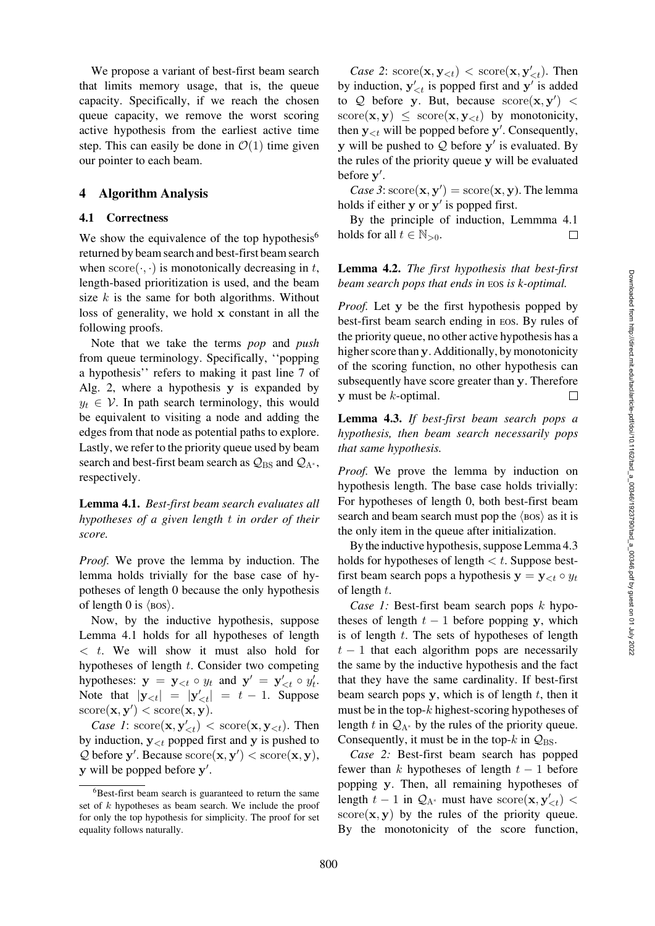We propose a variant of best-first beam search that limits memory usage, that is, the queue capacity. Specifically, if we reach the chosen queue capacity, we remove the worst scoring active hypothesis from the earliest active time step. This can easily be done in  $\mathcal{O}(1)$  time given our pointer to each beam.

### <span id="page-5-0"></span>4 Algorithm Analysis

#### 4.1 Correctness

We show the equivalence of the top hypothesis<sup>6</sup> returned by beam search and best-first beam search when  $score(\cdot, \cdot)$  is monotonically decreasing in t, length-based prioritization is used, and the beam size  $k$  is the same for both algorithms. Without loss of generality, we hold **x** constant in all the following proofs.

Note that we take the terms *pop* and *push* from queue terminology. Specifically, ''popping a hypothesis'' refers to making it past line 7 of Alg. [2,](#page-2-1) where a hypothesis **y** is expanded by  $y_t \in V$ . In path search terminology, this would be equivalent to visiting a node and adding the edges from that node as potential paths to explore. Lastly, we refer to the priority queue used by beam search and best-first beam search as  $Q_{BS}$  and  $Q_{A^*}$ , respectively.

<span id="page-5-2"></span>Lemma 4.1. *Best-first beam search evaluates all hypotheses of a given length* t *in order of their score.*

*Proof.* We prove the lemma by induction. The lemma holds trivially for the base case of hypotheses of length 0 because the only hypothesis of length 0 is  $\langle$  BOS $\rangle$ .

Now, by the inductive hypothesis, suppose Lemma [4.1](#page-5-2) holds for all hypotheses of length  $\langle t, w \rangle$  will show it must also hold for hypotheses of length  $t$ . Consider two competing hypotheses:  $y = y_{< t} \circ y_t$  and  $y' = y'_{< t} \circ y'_t$ . Note that  $|\mathbf{y}_{< t}| = |\mathbf{y}'_{< t}| = t - 1$ . Suppose  $score(\mathbf{x}, \mathbf{y}') < score(\mathbf{x}, \mathbf{y}).$ 

*Case 1*:  $score(\mathbf{x}, \mathbf{y}'_{\leq t}) < score(\mathbf{x}, \mathbf{y}_{\leq t})$ . Then by induction,  $y_{< t}$  popped first and **y** is pushed to  $Q$  before  $y'$ . Because  $score(x, y') < score(x, y)$ , **y** will be popped before **y** .

*Case 2*:  $score(\mathbf{x}, \mathbf{y}_{< t}) < score(\mathbf{x}, \mathbf{y}_{< t})$ . Then by induction,  $y'_{\leq t}$  is popped first and  $y'$  is added to  $Q$  before y. But, because  $score(x, y') <$  $\text{score}(\mathbf{x}, \mathbf{y}) \leq \text{score}(\mathbf{x}, \mathbf{y}_{\leq t})$  by monotonicity, then  $y_{< t}$  will be popped before  $y'$ . Consequently, **y** will be pushed to  $Q$  before  $y'$  is evaluated. By the rules of the priority queue **y** will be evaluated before **y** .

 $Case 3: \text{score}(\mathbf{x}, \mathbf{y}') = \text{score}(\mathbf{x}, \mathbf{y})$ . The lemma holds if either **y** or **y** is popped first.

By the principle of induction, Lemmma [4.1](#page-5-2) holds for all  $t \in \mathbb{N}_{>0}$ .  $\Box$ 

# Lemma 4.2. *The first hypothesis that best-first beam search pops that ends in* EOS *is k-optimal.*

*Proof.* Let **y** be the first hypothesis popped by best-first beam search ending in EOS. By rules of the priority queue, no other active hypothesis has a higher score than **y**. Additionally, by monotonicity of the scoring function, no other hypothesis can subsequently have score greater than **y**. Therefore **y** must be k-optimal.  $\Box$ 

<span id="page-5-3"></span>Lemma 4.3. *If best-first beam search pops a hypothesis, then beam search necessarily pops that same hypothesis.*

*Proof.* We prove the lemma by induction on hypothesis length. The base case holds trivially: For hypotheses of length 0, both best-first beam search and beam search must pop the  $\langle \text{bos} \rangle$  as it is the only item in the queue after initialization.

By the inductive hypothesis, suppose Lemma [4.3](#page-5-3) holds for hypotheses of length  $\lt t$ . Suppose bestfirst beam search pops a hypothesis  $y = y_{\leq t} \circ y_t$ of length  $t$ .

*Case 1:* Best-first beam search pops  $k$  hypotheses of length  $t - 1$  before popping **y**, which is of length  $t$ . The sets of hypotheses of length  $t - 1$  that each algorithm pops are necessarily the same by the inductive hypothesis and the fact that they have the same cardinality. If best-first beam search pops  $y$ , which is of length  $t$ , then it must be in the top- $k$  highest-scoring hypotheses of length t in  $Q_{A^*}$  by the rules of the priority queue. Consequently, it must be in the top- $k$  in  $\mathcal{Q}_{\text{BS}}$ .

*Case 2:* Best-first beam search has popped fewer than k hypotheses of length  $t - 1$  before popping **y**. Then, all remaining hypotheses of length  $t - 1$  in  $Q_{A^*}$  must have score $(\mathbf{x}, \mathbf{y}'_{\leq t})$  <  $score(x, y)$  by the rules of the priority queue. By the monotonicity of the score function,

<span id="page-5-1"></span><sup>&</sup>lt;sup>6</sup>Best-first beam search is guaranteed to return the same set of k hypotheses as beam search. We include the proof for only the top hypothesis for simplicity. The proof for set equality follows naturally.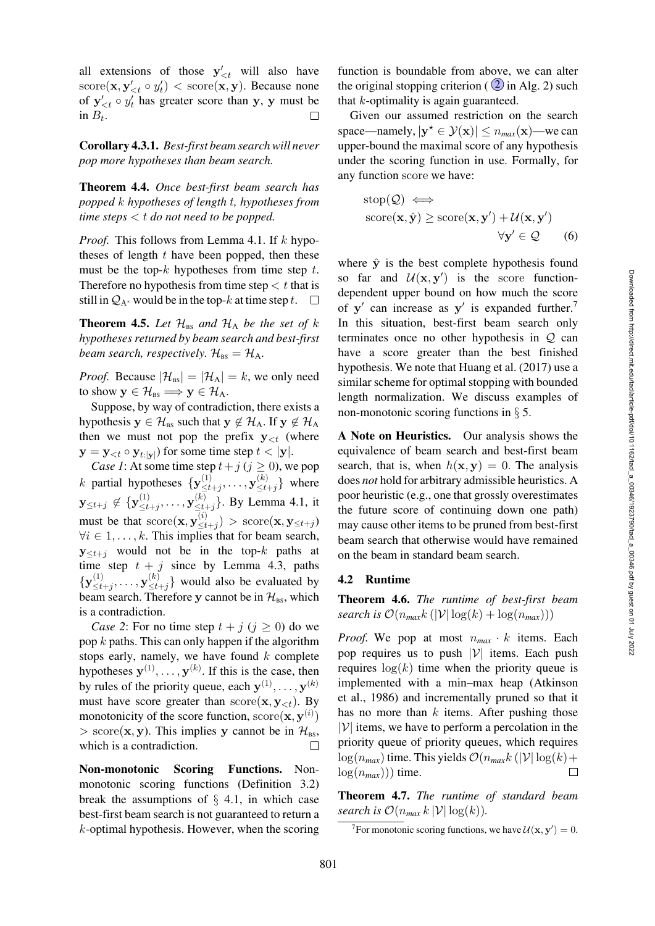all extensions of those  $y'_{\leq t}$  will also have  $score(\mathbf{x}, \mathbf{y}'_{< t} \circ y'_t) < score(\mathbf{x}, \mathbf{y})$ . Because none of  $y'_{\leq t} \circ y'_t$  has greater score than y, y must be in  $B_t$ .

Corollary 4.3.1. *Best-first beam search will never pop more hypotheses than beam search.*

Theorem 4.4. *Once best-first beam search has popped* k *hypotheses of length* t*, hypotheses from time steps* < t *do not need to be popped.*

*Proof.* This follows from Lemma [4.1.](#page-5-2) If k hypotheses of length  $t$  have been popped, then these must be the top- $k$  hypotheses from time step  $t$ . Therefore no hypothesis from time step  $\lt t$  that is still in  $Q_{A^*}$  would be in the top-k at time step t.  $\Box$ 

<span id="page-6-0"></span>**Theorem 4.5.** Let  $\mathcal{H}_{BS}$  and  $\mathcal{H}_{A}$  be the set of k *hypotheses returned by beam search and best-first beam search, respectively.*  $\mathcal{H}_{\text{BS}} = \mathcal{H}_{\text{A}}$ *.* 

*Proof.* Because  $|\mathcal{H}_{\text{BS}}| = |\mathcal{H}_{\text{A}}| = k$ , we only need to show  $y \in \mathcal{H}_{BS} \Longrightarrow y \in \mathcal{H}_{A}$ .

Suppose, by way of contradiction, there exists a hypothesis  $y \in \mathcal{H}_{BS}$  such that  $y \notin \mathcal{H}_{A}$ . If  $y \notin \mathcal{H}_{A}$ then we must not pop the prefix  $y_{\leq t}$  (where  $\mathbf{y} = \mathbf{y}_{< t} \circ \mathbf{y}_{t:|\mathbf{v}|}$  for some time step  $t < |\mathbf{y}|$ .

*Case 1*: At some time step  $t+j$  ( $j \ge 0$ ), we pop k partial hypotheses  $\{ \mathbf{y}^{(1)}_{\leq t+j}, \ldots, \mathbf{y}^{(k)}_{\leq t+j} \}$  where  $\mathbf{y}_{\leq t+j} \notin \{ \mathbf{y}_{\leq t+j}^{(1)}, \ldots, \mathbf{y}_{\leq t+j}^{(k)} \}$ . By Lemma [4.1,](#page-5-2) it must be that  $score(\mathbf{x}, \mathbf{y}_{\leq t+j}^{(i)}) > score(\mathbf{x}, \mathbf{y}_{\leq t+j})$  $\forall i \in 1, \ldots, k$ . This implies that for beam search,  $y \lt t_{t+1}$  would not be in the top-k paths at time step  $t + j$  since by Lemma [4.3,](#page-5-3) paths  ${\bf y}^{(1)}_{\leq t+j}, \ldots, {\bf y}^{(k)}_{\leq t+j}$  would also be evaluated by beam search. Therefore y cannot be in  $\mathcal{H}_{BS}$ , which is a contradiction.

*Case 2*: For no time step  $t + j$  ( $j \ge 0$ ) do we pop  $k$  paths. This can only happen if the algorithm stops early, namely, we have found  $k$  complete hypotheses  $y^{(1)}, \ldots, y^{(k)}$ . If this is the case, then by rules of the priority queue, each  $\mathbf{y}^{(1)}, \dots, \mathbf{y}^{(k)}$ must have score greater than  $score(\mathbf{x}, \mathbf{y}_{\le t})$ . By monotonicity of the score function,  $score(\mathbf{x}, \mathbf{y}^{(i)})$  $>$  score(**x**, **y**). This implies **y** cannot be in  $\mathcal{H}_{BS}$ , which is a contradiction.  $\Box$ 

Non-monotonic Scoring Functions. Nonmonotonic scoring functions (Definition [3.2\)](#page-4-0) break the assumptions of  $\S$  [4.1,](#page-6-0) in which case best-first beam search is not guaranteed to return a  $k$ -optimal hypothesis. However, when the scoring

function is boundable from above, we can alter the original stopping criterion ( $\overline{2}$  in Alg. [2\)](#page-2-1) such that k-optimality is again guaranteed.

Given our assumed restriction on the search space—namely,  $|\mathbf{y}^* \in \mathcal{Y}(\mathbf{x})| \leq n_{max}(\mathbf{x})$ —we can upper-bound the maximal score of any hypothesis under the scoring function in use. Formally, for any function score we have:

<span id="page-6-3"></span>
$$
stop(\mathcal{Q}) \iff
$$
  
\n
$$
score(\mathbf{x}, \hat{\mathbf{y}}) \geq score(\mathbf{x}, \mathbf{y}') + \mathcal{U}(\mathbf{x}, \mathbf{y}') \qquad \forall \mathbf{y}' \in \mathcal{Q} \qquad (6)
$$

where  $\hat{y}$  is the best complete hypothesis found so far and  $\mathcal{U}(x, y')$  is the score functiondependent upper bound on how much the score of  $y'$  can increase as  $y'$  is expanded further.<sup>7</sup> In this situation, best-first beam search only terminates once no other hypothesis in  $Q$  can have a score greater than the best finished hypothesis. We note that [Huang et al.](#page-12-8) [\(2017\)](#page-12-8) use a similar scheme for optimal stopping with bounded length normalization. We discuss examples of non-monotonic scoring functions in  $\S$  [5.](#page-7-0)

A Note on Heuristics. Our analysis shows the equivalence of beam search and best-first beam search, that is, when  $h(\mathbf{x}, \mathbf{y}) = 0$ . The analysis does *not* hold for arbitrary admissible heuristics. A poor heuristic (e.g., one that grossly overestimates the future score of continuing down one path) may cause other items to be pruned from best-first beam search that otherwise would have remained on the beam in standard beam search.

#### <span id="page-6-2"></span>4.2 Runtime

Theorem 4.6. *The runtime of best-first beam search is*  $\mathcal{O}(n_{max}k(|V|\log(k) + \log(n_{max})))$ 

*Proof.* We pop at most  $n_{max} \cdot k$  items. Each pop requires us to push  $|V|$  items. Each push requires  $log(k)$  time when the priority queue is impl[emented with a min–max heap \(](#page-11-2)Atkinson et al., [1986\)](#page-11-2) and incrementally pruned so that it has no more than  $k$  items. After pushing those  $|\mathcal{V}|$  items, we have to perform a percolation in the priority queue of priority queues, which requires  $\log(n_{max})$  time. This yields  $\mathcal{O}(n_{max}k(|\mathcal{V}| \log(k)) +$  $log(n_{max}))$  time.  $\Box$ 

Theorem 4.7. *The runtime of standard beam search is*  $\mathcal{O}(n_{max} k |\mathcal{V}| \log(k)).$ 

<span id="page-6-1"></span><sup>7</sup>For monotonic scoring functions, we have  $\mathcal{U}(\mathbf{x}, \mathbf{y}') = 0$ .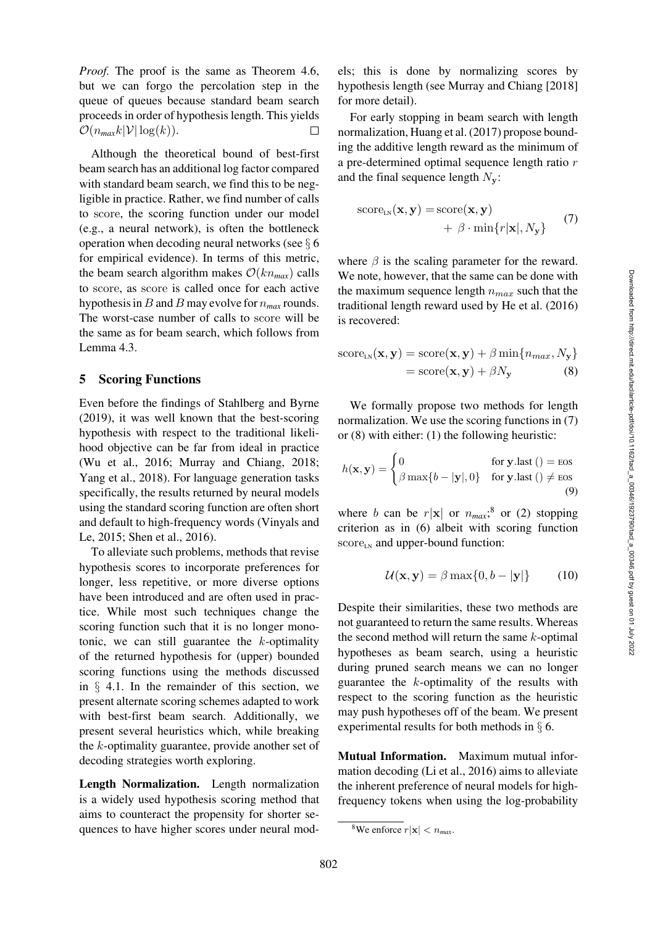*Proof.* The proof is the same as Theorem [4.6,](#page-6-2) but we can forgo the percolation step in the queue of queues because standard beam search proceeds in order of hypothesis length. This yields  $\mathcal{O}(n_{max}k|\mathcal{V}|\log(k)).$  $\Box$ 

Although the theoretical bound of best-first beam search has an additional log factor compared with standard beam search, we find this to be negligible in practice. Rather, we find number of calls to score, the scoring function under our model (e.g., a neural network), is often the bottleneck operation when decoding neural networks (see § [6](#page-8-0) for empirical evidence). In terms of this metric, the beam search algorithm makes  $\mathcal{O}(kn_{max})$  calls to score, as score is called once for each active hypothesis in B and B may evolve for n*max* rounds. The worst-case number of calls to score will be the same as for beam search, which follows from Lemma [4.3.](#page-5-3)

### <span id="page-7-0"></span>5 Scoring Functions

Even before the findings of [Stahlberg and Byrne](#page-13-0) [\(2019\)](#page-13-0), it was well known that the best-scoring hypothesis with respect to the traditional likelihood objective can be far from ideal in practice [\(Wu et al., 2016;](#page-14-1) [Murray and Chiang](#page-12-0), [2018](#page-12-0); [Yang et al., 2018](#page-14-2)). For language generation tasks specifically, the results returned by neural models using the standard scoring function are often short an[d](#page-14-6) [default](#page-14-6) [to](#page-14-6) [high-frequency](#page-14-6) [words](#page-14-6) [\(](#page-14-6)Vinyals and Le, [2015](#page-14-6); [Shen et al.](#page-13-6), [2016\)](#page-13-6).

To alleviate such problems, methods that revise hypothesis scores to incorporate preferences for longer, less repetitive, or more diverse options have been introduced and are often used in practice. While most such techniques change the scoring function such that it is no longer monotonic, we can still guarantee the  $k$ -optimality of the returned hypothesis for (upper) bounded scoring functions using the methods discussed in  $\S$  [4.1.](#page-5-0) In the remainder of this section, we present alternate scoring schemes adapted to work with best-first beam search. Additionally, we present several heuristics which, while breaking the k-optimality guarantee, provide another set of decoding strategies worth exploring.

<span id="page-7-4"></span>Length Normalization. Length normalization is a widely used hypothesis scoring method that aims to counteract the propensity for shorter sequences to have higher scores under neural models; this is done by normalizing scores by hypothesis length (see Murray and Chiang [\[2018\]](#page-12-0) for more detail).

For early stopping in beam search with length normalization, [Huang et al.](#page-12-8) [\(2017](#page-12-8)) propose bounding the additive length reward as the minimum of a pre-determined optimal sequence length ratio  $r$ and the final sequence length  $N_{\mathbf{v}}$ :

<span id="page-7-1"></span>score<sub>LN</sub>(
$$
\mathbf{x}, \mathbf{y}
$$
) = score( $\mathbf{x}, \mathbf{y}$ )  
+  $\beta \cdot \min\{r | \mathbf{x} |, N_{\mathbf{y}}\}$  (7)

where  $\beta$  is the scaling parameter for the reward. We note, however, that the same can be done with the maximum sequence length  $n_{max}$  such that the traditional length reward used by [He et al.](#page-12-2) [\(2016\)](#page-12-2) is recovered:

<span id="page-7-2"></span>score<sub>LN</sub>
$$
(\mathbf{x}, \mathbf{y}) = \text{score}(\mathbf{x}, \mathbf{y}) + \beta \min\{n_{max}, N_{\mathbf{y}}\}
$$
  
= score $(\mathbf{x}, \mathbf{y}) + \beta N_{\mathbf{y}}$  (8)

We formally propose two methods for length normalization. We use the scoring functions in [\(7\)](#page-7-1) or [\(8\)](#page-7-2) with either: (1) the following heuristic:

$$
h(\mathbf{x}, \mathbf{y}) = \begin{cases} 0 & \text{for } \mathbf{y}. \text{last }() = \text{eos} \\ \beta \max\{b - |\mathbf{y}|, 0\} & \text{for } \mathbf{y}. \text{last }() \neq \text{eos} \end{cases}
$$
(9)

where b can be  $r|\mathbf{x}|$  or  $n_{max}$ ;<sup>[8](#page-7-3)</sup> or (2) stopping criterion as in [\(6\)](#page-6-3) albeit with scoring function score<sub>LN</sub> and upper-bound function:

$$
U(\mathbf{x}, \mathbf{y}) = \beta \max\{0, b - |\mathbf{y}|\} \qquad (10)
$$

Despite their similarities, these two methods are not guaranteed to return the same results. Whereas the second method will return the same  $k$ -optimal hypotheses as beam search, using a heuristic during pruned search means we can no longer guarantee the k-optimality of the results with respect to the scoring function as the heuristic may push hypotheses off of the beam. We present experimental results for both methods in § [6.](#page-8-0)

<span id="page-7-5"></span>Mutual Information. Maximum mutual information decoding [\(Li et al.](#page-12-3), [2016\)](#page-12-3) aims to alleviate the inherent preference of neural models for highfrequency tokens when using the log-probability

<span id="page-7-3"></span><sup>&</sup>lt;sup>8</sup>We enforce  $r|\mathbf{x}| < n_{max}$ .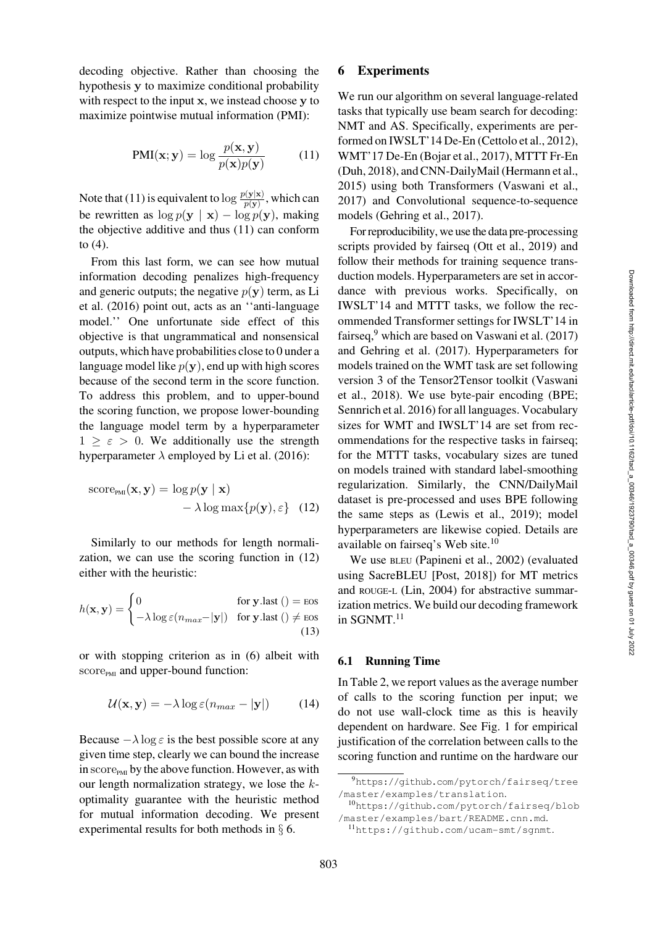decoding objective. Rather than choosing the hypothesis **y** to maximize conditional probability with respect to the input **x**, we instead choose **y** to maximize pointwise mutual information (PMI):

<span id="page-8-1"></span>
$$
PMI(\mathbf{x}; \mathbf{y}) = \log \frac{p(\mathbf{x}, \mathbf{y})}{p(\mathbf{x})p(\mathbf{y})}
$$
(11)

Note that [\(11\)](#page-8-1) is equivalent to  $\log \frac{p(y|x)}{p(y)}$ , which can be rewritten as  $\log p(\mathbf{y} | \mathbf{x}) - \log p(\mathbf{y})$ , making the objective additive and thus [\(11\)](#page-8-1) can conform to [\(4\)](#page-1-2).

From this last form, we can see how mutual information decoding penalizes high-frequency and [generic outputs; the negative](#page-12-3)  $p(\mathbf{y})$  term, as Li et al. [\(2016](#page-12-3)) point out, acts as an ''anti-language model.'' One unfortunate side effect of this objective is that ungrammatical and nonsensical outputs, which have probabilities close to 0 under a language model like  $p(y)$ , end up with high scores because of the second term in the score function. To address this problem, and to upper-bound the scoring function, we propose lower-bounding the language model term by a hyperparameter  $1 > \varepsilon > 0$ . We additionally use the strength hyperparameter  $\lambda$  employed by [Li et al.](#page-12-3) [\(2016](#page-12-3)):

score<sub>PMI</sub>(**x**, **y**) = log 
$$
p
$$
(**y** | **x**)  
-  $\lambda$  log max{ $p$ (**y**),  $\varepsilon$ } (12)

Similarly to our methods for length normalization, we can use the scoring function in [\(12\)](#page-8-2) either with the heuristic:

$$
h(\mathbf{x}, \mathbf{y}) = \begin{cases} 0 & \text{for } \mathbf{y}.\text{last }() = \text{eos} \\ -\lambda \log \varepsilon (n_{max} - |\mathbf{y}|) & \text{for } \mathbf{y}.\text{last }() \neq \text{eos} \end{cases}
$$
(13)

or with stopping criterion as in [\(6\)](#page-6-3) albeit with score<sub>PMI</sub> and upper-bound function:

$$
U(\mathbf{x}, \mathbf{y}) = -\lambda \log \varepsilon (n_{max} - |\mathbf{y}|) \tag{14}
$$

Because  $-\lambda \log \varepsilon$  is the best possible score at any given time step, clearly we can bound the increase in  $score<sub>PMI</sub>$  by the above function. However, as with our length normalization strategy, we lose the  $k$ optimality guarantee with the heuristic method for mutual information decoding. We present experimental results for both methods in § [6.](#page-8-0)

### <span id="page-8-0"></span>6 Experiments

We run our algorithm on several language-related tasks that typically use beam search for decoding: NMT and AS. Specifically, experiments are performed on IWSLT'14 De-En [\(Cettolo et al., 2012](#page-11-3)), WMT'17 De-En [\(Bojar et al., 2017](#page-11-4)), MTTT Fr-En [\(Duh, 2018](#page-11-5)), and CNN-DailyMail [\(Hermann et al.,](#page-12-9) [2015](#page-12-9)) using both Transformers [\(Vaswani et al.,](#page-13-7) [2017](#page-13-7)) and Convolutional sequence-to-sequence models [\(Gehring et al., 2017](#page-11-6)).

For reproducibility, we use the data pre-processing scripts provided by fairseq [\(Ott et al.](#page-13-8), [2019](#page-13-8)) and follow their methods for training sequence transduction models. Hyperparameters are set in accordance with previous works. Specifically, on IWSLT'14 and MTTT tasks, we follow the recommended Transformer settings for IWSLT'14 in fairseq, $9$  which are based on [Vaswani et al.](#page-13-7) [\(2017\)](#page-13-7) and [Gehring et al.](#page-11-6) [\(2017\)](#page-11-6). Hyperparameters for models trained on the WMT task are set following versi[on](#page-13-9) [3](#page-13-9) [of](#page-13-9) [the](#page-13-9) [Tensor2Tensor](#page-13-9) [toolkit](#page-13-9) [\(](#page-13-9)Vaswani et al., [2018\)](#page-13-9). We use byte-pair encoding (BPE; [Sennrich et al. 2016\)](#page-13-10) for all languages. Vocabulary sizes for WMT and IWSLT'14 are set from recommendations for the respective tasks in fairseq; for the MTTT tasks, vocabulary sizes are tuned on models trained with standard label-smoothing regularization. Similarly, the CNN/DailyMail dataset is pre-processed and uses BPE following the same steps as [\(Lewis et al., 2019\)](#page-12-10); model hyperparameters are likewise copied. Details are available on fairseq's Web site.<sup>[10](#page-8-4)</sup>

<span id="page-8-2"></span>We use BLEU [\(Papineni et al., 2002\)](#page-13-11) (evaluated using SacreBLEU [Post, [2018](#page-13-12)]) for MT metrics and ROUGE-L [\(Lin, 2004\)](#page-12-11) for abstractive summarization metrics. We build our decoding framework in SGNMT.<sup>[11](#page-8-5)</sup>

### 6.1 Running Time

In [Table 2,](#page-9-0) we report values as the average number of calls to the scoring function per input; we do not use wall-clock time as this is heavily dependent on hardware. See [Fig. 1](#page-9-1) for empirical justification of the correlation between calls to the scoring function and runtime on the hardware our

<span id="page-8-3"></span><sup>9</sup>[https://github.com/pytorch/fairseq/tree](https://github.com/pytorch/fairseq/tree/master/examples/translation) [/master/examples/translation](https://github.com/pytorch/fairseq/tree/master/examples/translation).

<sup>10</sup>[https://github.com/pytorch/fairseq/blob](https://github.com/pytorch/fairseq/blob/master/examples/bart/README.cnn.md) [/master/examples/bart/README.cnn.md](https://github.com/pytorch/fairseq/blob/master/examples/bart/README.cnn.md).

<span id="page-8-5"></span><span id="page-8-4"></span><sup>11</sup><https://github.com/ucam-smt/sgnmt>.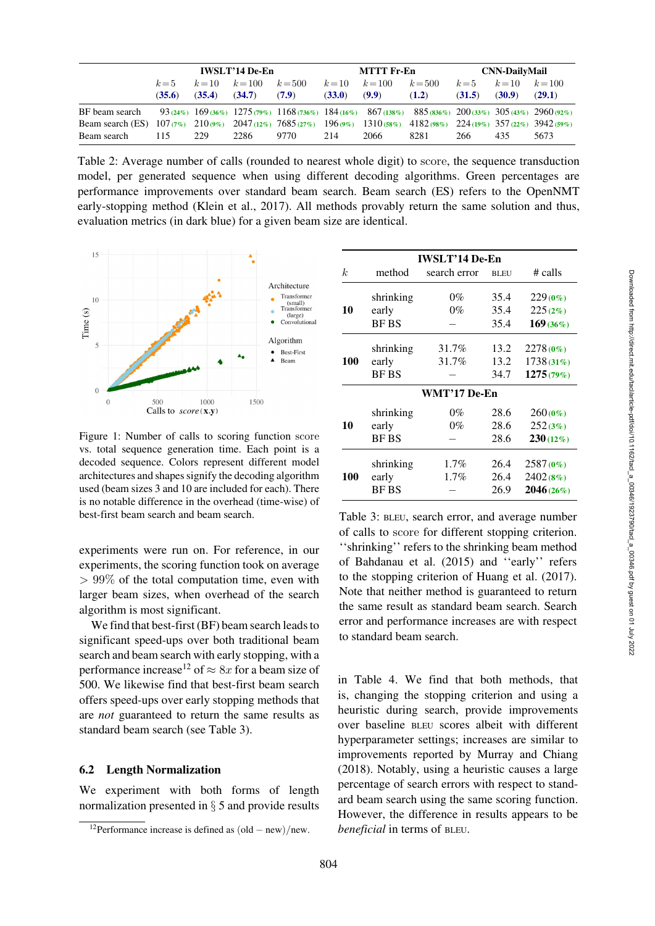Downloaded from http://direct.mit.edu/tacl/article-pdf/doi/10.1162/tacl\_a\_00346/1923790/tacl\_a\_00346.pdf by guest on 01 July 2022

Downloaded from http://direct.mit.edu/tacl/article-pdf/doi/10.1162/tacl\_a\_00346/1923790/tacl\_a\_00346.pdf by guest on 01 July 2022

|                                                                                                                                            |         |                    | <b>IWSLT'14 De-En</b> |           | MTTT Fr-En |           |           | <b>CNN-DailyMail</b> |                    |        |
|--------------------------------------------------------------------------------------------------------------------------------------------|---------|--------------------|-----------------------|-----------|------------|-----------|-----------|----------------------|--------------------|--------|
|                                                                                                                                            | $k = 5$ | $k = 10$ $k = 100$ |                       | $k = 500$ | $k=10$     | $k = 100$ | $k = 500$ | $k=5$                | $k = 10$ $k = 100$ |        |
|                                                                                                                                            | (35.6)  | (35.4)             | (34.7)                | (7.9)     | (33.0)     | (9.9)     | (1.2)     | (31.5)               | (30.9)             | (29.1) |
| BF beam search 93 (24%) $169(36\%)$ 1275 (79%) $1168(736\%)$ 184 (16%) 867 (138%) 885 (836%) $200(33\%)$ 305 (43%) 2960 (92%)              |         |                    |                       |           |            |           |           |                      |                    |        |
| Beam search (ES) $107(7\%)$ $210(9\%)$ $2047(12\%)$ $7685(27\%)$ $196(9\%)$ $1310(58\%)$ $4182(98\%)$ $224(19\%)$ $357(22\%)$ $3942(59\%)$ |         |                    |                       |           |            |           |           |                      |                    |        |
| Beam search                                                                                                                                | 115     | 229                | 2286                  | 9770      | 214        | 2066      | 8281      | 266                  | 435                | 5673   |

<span id="page-9-0"></span>Table 2: Average number of calls (rounded to nearest whole digit) to score, the sequence transduction model, per generated sequence when using different decoding algorithms. Green percentages are performance improvements over standard beam search. Beam search (ES) refers to the OpenNMT early-stopping method [\(Klein et al.](#page-12-7), [2017\)](#page-12-7). All methods provably return the same solution and thus, evaluation metrics (in dark blue) for a given beam size are identical.



<span id="page-9-1"></span>Figure 1: Number of calls to scoring function score vs. total sequence generation time. Each point is a decoded sequence. Colors represent different model architectures and shapes signify the decoding algorithm used (beam sizes 3 and 10 are included for each). There is no notable difference in the overhead (time-wise) of best-first beam search and beam search.

experiments were run on. For reference, in our experiments, the scoring function took on average  $> 99\%$  of the total computation time, even with larger beam sizes, when overhead of the search algorithm is most significant.

We find that best-first (BF) beam search leads to significant speed-ups over both traditional beam search and beam search with early stopping, with a performance increase<sup>12</sup> of  $\approx 8x$  for a beam size of 500. We likewise find that best-first beam search offers speed-ups over early stopping methods that are *not* guaranteed to return the same results as standard beam search (see [Table 3\)](#page-9-3).

### 6.2 Length Normalization

We experiment with both forms of length normalization presented in § [5](#page-7-4) and provide results

|     |              | <b>IWSLT'14 De-En</b> |             |             |
|-----|--------------|-----------------------|-------------|-------------|
| k.  | method       | search error          | <b>BLEU</b> | $#$ calls   |
|     | shrinking    | 0%                    | 35.4        | $229(0\%)$  |
| 10  | early        | $0\%$                 | 35.4        | 225(2%)     |
|     | <b>BF BS</b> |                       | 35.4        | $169(36\%)$ |
|     | shrinking    | 31.7%                 | 13.2        | 2278 (0%)   |
| 100 | early        | 31.7%                 | 13.2        | 1738(31%)   |
|     | <b>BF BS</b> |                       | 34.7        | 1275(79%)   |
|     |              | WMT'17 De-En          |             |             |
|     | shrinking    | 0%                    | 28.6        | $260(0\%)$  |
| 10  | early        | $0\%$                 | 28.6        | 252(3%)     |
|     | <b>BF BS</b> |                       | 28.6        | $230(12\%)$ |
|     | shrinking    | $1.7\%$               | 26.4        | 2587 (0%)   |
| 100 | early        | $1.7\%$               | 26.4        | 2402 (8%)   |
|     | <b>BFBS</b>  |                       | 26.9        | 2046(26%)   |

<span id="page-9-3"></span>Table 3: BLEU, search error, and average number of calls to score for different stopping criterion. ''shrinking'' refers to the shrinking beam method of [Bahdanau et al.](#page-11-7) [\(2015](#page-11-7)) and ''early'' refers to the stopping criterion of [Huang et al.](#page-12-8) [\(2017](#page-12-8)). Note that neither method is guaranteed to return the same result as standard beam search. Search error and performance increases are with respect to standard beam search.

in [Table 4.](#page-10-0) We find that both methods, that is, changing the stopping criterion and using a heuristic during search, provide improvements over baseline BLEU scores albeit with different hyperparameter settings; increases are similar to improvements reported by [Murray and Chiang](#page-12-0) [\(2018\)](#page-12-0). Notably, using a heuristic causes a large percentage of search errors with respect to standard beam search using the same scoring function. However, the difference in results appears to be *beneficial* in terms of BLEU.

<span id="page-9-2"></span><sup>&</sup>lt;sup>12</sup>Performance increase is defined as  $\left(\text{old} - \text{new}\right)/\text{new}$ .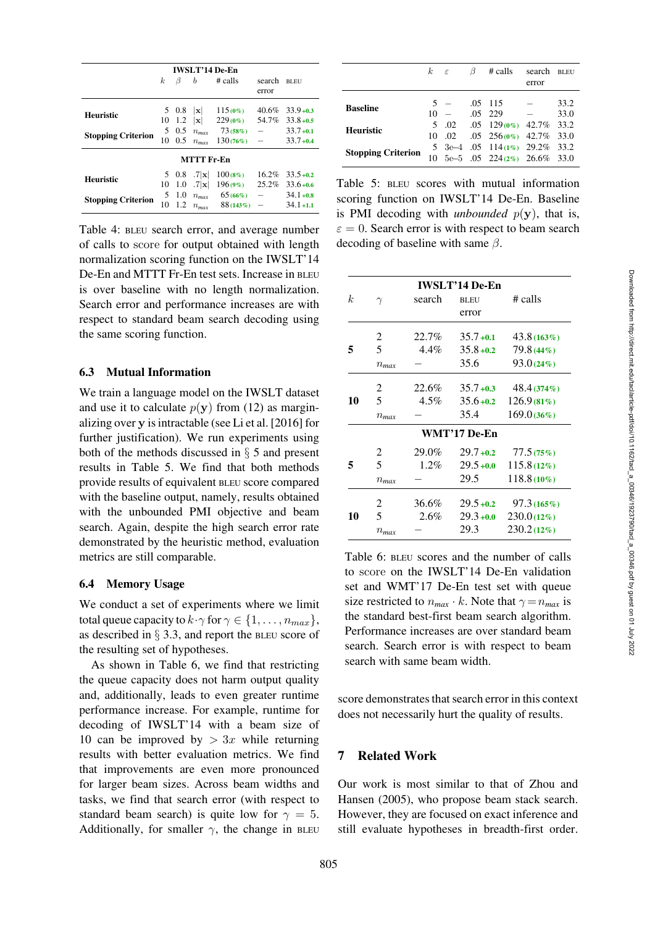| <b>IWSLT'14 De-En</b>     |          |       |             |            |                          |              |
|---------------------------|----------|-------|-------------|------------|--------------------------|--------------|
|                           | $\kappa$ | B     | b           | $\#$ calls | search<br>error          | <b>BLEU</b>  |
| <b>Heuristic</b>          |          | 5 0.8 | x           | $115(0\%)$ | $40.6\%$                 | $33.9 + 0.3$ |
|                           | 10       | 1.2   | x           | $229(0\%)$ | 54.7%                    | $33.8 + 0.5$ |
| <b>Stopping Criterion</b> |          | 5 0.5 | $n_{max}$   | 73(58%)    |                          | $33.7 + 0.1$ |
|                           | 10       | 0.5   | $n_{max}$   | 130(76%)   |                          | $33.7 + 0.4$ |
| MTTT Fr-En                |          |       |             |            |                          |              |
|                           |          | 5 0.8 | $.7 \times$ | $100(8\%)$ | 16.2%                    | $33.5 + 0.2$ |
| <b>Heuristic</b>          | 10       | 1.0   | $.7 \times$ | $196(9\%)$ | $25.2\%$                 | $33.6 + 0.6$ |
|                           | 5        | 1.0   | $n_{max}$   | $65(66\%)$ | $\overline{\phantom{0}}$ | $34.1 + 0.8$ |
| <b>Stopping Criterion</b> | 10       | 12    | $n_{max}$   | 88 (143%)  |                          | $34.1 + 1.1$ |
|                           |          |       |             |            |                          |              |

<span id="page-10-0"></span>Table 4: BLEU search error, and average number of calls to score for output obtained with length normalization scoring function on the IWSLT'14 De-En and MTTT Fr-En test sets. Increase in BLEU is over baseline with no length normalization. Search error and performance increases are with respect to standard beam search decoding using the same scoring function.

### 6.3 Mutual Information

We train a language model on the IWSLT dataset and use it to calculate  $p(y)$  from [\(12\)](#page-8-2) as marginalizing over **y** is intractable (see Li et al. [\[2016\]](#page-12-3) for further justification). We run experiments using both of the methods discussed in § [5](#page-7-5) and present results in [Table 5.](#page-10-1) We find that both methods provide results of equivalent BLEU score compared with the baseline output, namely, results obtained with the unbounded PMI objective and beam search. Again, despite the high search error rate demonstrated by the heuristic method, evaluation metrics are still comparable.

### 6.4 Memory Usage

We conduct a set of experiments where we limit total queue capacity to  $k \cdot \gamma$  for  $\gamma \in \{1, \ldots, n_{max}\},$ as described in § [3.3,](#page-4-1) and report the BLEU score of the resulting set of hypotheses.

As shown in [Table 6,](#page-10-2) we find that restricting the queue capacity does not harm output quality and, additionally, leads to even greater runtime performance increase. For example, runtime for decoding of IWSLT'14 with a beam size of 10 can be improved by  $> 3x$  while returning results with better evaluation metrics. We find that improvements are even more pronounced for larger beam sizes. Across beam widths and tasks, we find that search error (with respect to standard beam search) is quite low for  $\gamma = 5$ . Additionally, for smaller  $\gamma$ , the change in BLEU

|                           | $k \epsilon$ |            | ß | # calls                                                          | search<br>error | <b>BLEU</b>  |
|---------------------------|--------------|------------|---|------------------------------------------------------------------|-----------------|--------------|
| <b>Baseline</b>           | 5.<br>10     |            |   | $.05$ 115<br>$.05$ 229                                           |                 | 33.2<br>33.0 |
| <b>Heuristic</b>          | 5.<br>10     | .02<br>.02 |   | $.05$ 129 (0%) 42.7% 33.2<br>$.05\quad256(0\%)\quad42.7\%$ 33.0  |                 |              |
| <b>Stopping Criterion</b> | 10           |            |   | 5 3e-4 .05 114(1%) 29.2% 33.2<br>5e-5 .05 224 $(2\%)$ 26.6% 33.0 |                 |              |

<span id="page-10-1"></span>Table 5: BLEU scores with mutual information scoring function on IWSLT'14 De-En. Baseline is PMI decoding with *unbounded*  $p(y)$ , that is,  $\varepsilon = 0$ . Search error is with respect to beam search decoding of baseline with same  $\beta$ .

|    |           |         | <b>IWSLT'14 De-En</b> |               |
|----|-----------|---------|-----------------------|---------------|
| k. | $\gamma$  | search  | <b>BLEU</b>           | $#$ calls     |
|    |           |         | error                 |               |
|    | 2         | 22.7%   | $35.7 + 0.1$          | 43.8(163%)    |
| 5  | 5         | 4.4%    | $35.8 + 0.2$          | 79.8 (44%)    |
|    | $n_{max}$ |         | 35.6                  | 93.0(24%)     |
|    | 2         | 22.6%   | $35.7 + 0.3$          | 48.4(374%)    |
| 10 | 5         | 4.5%    | $35.6 + 0.2$          | 126.9(81%)    |
|    | $n_{max}$ |         | 35.4                  | 169.0(36%)    |
|    |           |         | <b>WMT'17 De-En</b>   |               |
|    | 2         | 29.0%   | $29.7 + 0.2$          | 77.5(75%)     |
| 5  | 5         | $1.2\%$ | $29.5 + 0.0$          | $115.8(12\%)$ |
|    | $n_{max}$ |         | 29.5                  | $118.8(10\%)$ |
|    | 2         | 36.6%   | $29.5 + 0.2$          | 97.3(165%)    |
| 10 | 5         | 2.6%    | $29.3 + 0.0$          | $230.0(12\%)$ |
|    | $n_{max}$ |         | 29.3                  | $230.2(12\%)$ |

<span id="page-10-2"></span>Table 6: BLEU scores and the number of calls to score on the IWSLT'14 De-En validation set and WMT'17 De-En test set with queue size restricted to  $n_{max} \cdot k$ . Note that  $\gamma = n_{max}$  is the standard best-first beam search algorithm. Performance increases are over standard beam search. Search error is with respect to beam search with same beam width.

score demonstrates that search error in this context does not necessarily hurt the quality of results.

# 7 Related Work

Our w[ork is most similar to that of](#page-14-7) Zhou and Hansen [\(2005\)](#page-14-7), who propose beam stack search. However, they are focused on exact inference and still evaluate hypotheses in breadth-first order. Downloaded from http://direct.mit.edu/tacl/article-pdf/doi/10.1162/tacl\_a\_00346/1923790/tacl\_a\_00346.pdf by guest on 01 July 2022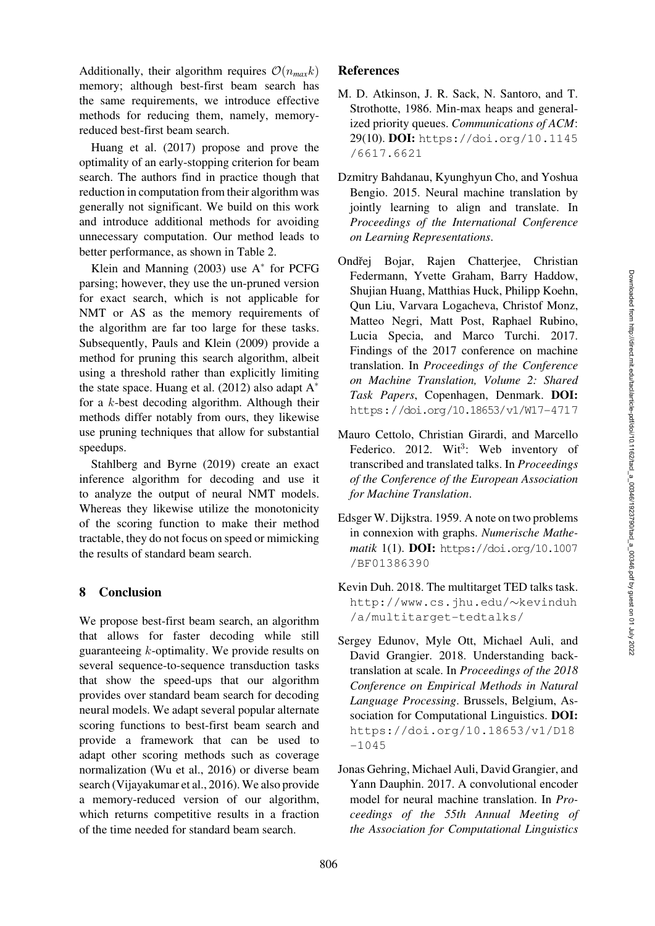Additionally, their algorithm requires  $\mathcal{O}(n_{max}k)$ memory; although best-first beam search has the same requirements, we introduce effective methods for reducing them, namely, memoryreduced best-first beam search.

Huang et al. [\(2017](#page-12-8)) propose and prove the optimality of an early-stopping criterion for beam search. The authors find in practice though that reduction in computation from their algorithm was generally not significant. We build on this work and introduce additional methods for avoiding unnecessary computation. Our method leads to better performance, as shown in [Table 2.](#page-9-0)

Klein and Manning  $(2003)$  use  $A^*$  for PCFG parsing; however, they use the un-pruned version for exact search, which is not applicable for NMT or AS as the memory requirements of the algorithm are far too large for these tasks. Subsequently, [Pauls and Klein](#page-13-13) [\(2009](#page-13-13)) provide a method for pruning this search algorithm, albeit using a threshold rather than explicitly limiting the state space. [Huang et al.](#page-12-13) [\(2012\)](#page-12-13) also adapt  $A^*$ for a k-best decoding algorithm. Although their methods differ notably from ours, they likewise use pruning techniques that allow for substantial speedups.

Stahlberg and Byrne [\(2019](#page-13-0)) create an exact inference algorithm for decoding and use it to analyze the output of neural NMT models. Whereas they likewise utilize the monotonicity of the scoring function to make their method tractable, they do not focus on speed or mimicking the results of standard beam search.

### 8 Conclusion

We propose best-first beam search, an algorithm that allows for faster decoding while still guaranteeing k-optimality. We provide results on several sequence-to-sequence transduction tasks that show the speed-ups that our algorithm provides over standard beam search for decoding neural models. We adapt several popular alternate scoring functions to best-first beam search and provide a framework that can be used to adapt other scoring methods such as coverage normalization [\(Wu et al.](#page-14-1), [2016\)](#page-14-1) or diverse beam search [\(Vijayakumar et al.](#page-14-3), [2016\)](#page-14-3). We also provide a memory-reduced version of our algorithm, which returns competitive results in a fraction of the time needed for standard beam search.

### **References**

- <span id="page-11-2"></span>M. D. Atkinson, J. R. Sack, N. Santoro, and T. Strothotte, 1986. Min-max heaps and generalized priority queues. *Communications of ACM*: 29(10). DOI: [https://doi.org/10.1145](https://doi.org/10.1145/6617.6621) [/6617.6621](https://doi.org/10.1145/6617.6621)
- <span id="page-11-7"></span>Dzmitry Bahdanau, Kyunghyun Cho, and Yoshua Bengio. 2015. Neural machine translation by jointly learning to align and translate. In *Proceedings of the International Conference on Learning Representations*.
- <span id="page-11-4"></span>Ondřej Bojar, Rajen Chatterjee, Christian Federmann, Yvette Graham, Barry Haddow, Shujian Huang, Matthias Huck, Philipp Koehn, Qun Liu, Varvara Logacheva, Christof Monz, Matteo Negri, Matt Post, Raphael Rubino, Lucia Specia, and Marco Turchi. 2017. Findings of the 2017 conference on machine translation. In *Proceedings of the Conference on Machine Translation, Volume 2: Shared Task Papers*, Copenhagen, Denmark. DOI: <https://doi.org/10.18653/v1/W17-4717>
- <span id="page-11-3"></span>Mauro Cettolo, Christian Girardi, and Marcello Federico. 2012. Wit<sup>3</sup>: Web inventory of transcribed and translated talks. In *Proceedings of the Conference of the European Association for Machine Translation*.
- <span id="page-11-1"></span>Edsger W. Dijkstra. 1959. A note on two problems in connexion with graphs. *Numerische Mathematik* 1(1). DOI: [https://doi.org/10.1007](https://doi.org/10.1007/BF01386390) [/BF01386390](https://doi.org/10.1007/BF01386390)
- <span id="page-11-5"></span>Kevin Duh. 2018. The multitarget TED talks task. [http://www.cs.jhu.edu/](http://www.cs.jhu.edu/~kevinduh/a/multitarget-tedtalks/)∼kevinduh [/a/multitarget-tedtalks/](http://www.cs.jhu.edu/~kevinduh/a/multitarget-tedtalks/)
- <span id="page-11-0"></span>Sergey Edunov, Myle Ott, Michael Auli, and David Grangier. 2018. Understanding backtranslation at scale. In *Proceedings of the 2018 Conference on Empirical Methods in Natural Language Processing*. Brussels, Belgium, Association for Computational Linguistics. DOI: [https://doi.org/10.18653/v1/D18](https://doi.org/10.18653/v1/D18-1045) [-1045](https://doi.org/10.18653/v1/D18-1045)
- <span id="page-11-6"></span>Jonas Gehring, Michael Auli, David Grangier, and Yann Dauphin. 2017. A convolutional encoder model for neural machine translation. In *Proceedings of the 55th Annual Meeting of the Association for Computational Linguistics*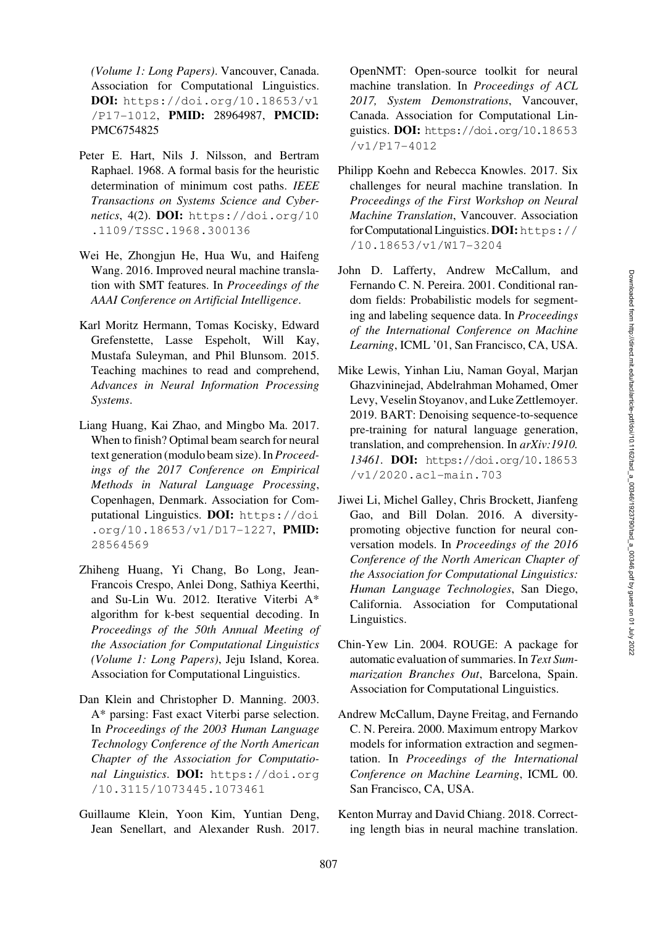*(Volume 1: Long Papers)*. Vancouver, Canada. Association for Computational Linguistics. DOI: [https://doi.org/10.18653/v1](https://doi.org/10.18653/v1/P17-1012) [/P17-1012](https://doi.org/10.18653/v1/P17-1012), PMID: [28964987,](https://europepmc.org/article/MED/28964987) PMCID: [PMC6754825](https://www.ncbi.nlm.nih.gov/pmc/articles/PMC6754825)

- <span id="page-12-1"></span>Peter E. Hart, Nils J. Nilsson, and Bertram Raphael. 1968. A formal basis for the heuristic determination of minimum cost paths. *IEEE Transactions on Systems Science and Cybernetics*, 4(2). DOI: [https://doi.org/10](https://doi.org/10.1109/TSSC.1968.300136) [.1109/TSSC.1968.300136](https://doi.org/10.1109/TSSC.1968.300136)
- <span id="page-12-2"></span>Wei He, Zhongjun He, Hua Wu, and Haifeng Wang. 2016. Improved neural machine translation with SMT features. In *Proceedings of the AAAI Conference on Artificial Intelligence*.
- <span id="page-12-9"></span>Karl Moritz Hermann, Tomas Kocisky, Edward Grefenstette, Lasse Espeholt, Will Kay, Mustafa Suleyman, and Phil Blunsom. 2015. Teaching machines to read and comprehend, *Advances in Neural Information Processing Systems*.
- <span id="page-12-8"></span>Liang Huang, Kai Zhao, and Mingbo Ma. 2017. When to finish? Optimal beam search for neural text generation (modulo beam size). In *Proceedings of the 2017 Conference on Empirical Methods in Natural Language Processing*, Copenhagen, Denmark. Association for Computational Linguistics. DOI: [https://doi](https://doi.org/10.18653/v1/D17-1227) [.org/10.18653/v1/D17-1227](https://doi.org/10.18653/v1/D17-1227), PMID: [28564569](https://europepmc.org/article/MED/24384152)
- <span id="page-12-13"></span>Zhiheng Huang, Yi Chang, Bo Long, Jean-Francois Crespo, Anlei Dong, Sathiya Keerthi, and Su-Lin Wu. 2012. Iterative Viterbi A\* algorithm for k-best sequential decoding. In *Proceedings of the 50th Annual Meeting of the Association for Computational Linguistics (Volume 1: Long Papers)*, Jeju Island, Korea. Association for Computational Linguistics.
- <span id="page-12-12"></span>Dan Klein and Christopher D. Manning. 2003. A\* parsing: Fast exact Viterbi parse selection. In *Proceedings of the 2003 Human Language Technology Conference of the North American Chapter of the Association for Computational Linguistics*. DOI: [https://doi.org](https://doi.org/10.3115/1073445.1073461) [/10.3115/1073445.1073461](https://doi.org/10.3115/1073445.1073461)
- <span id="page-12-7"></span>Guillaume Klein, Yoon Kim, Yuntian Deng, Jean Senellart, and Alexander Rush. 2017.

OpenNMT: Open-source toolkit for neural machine translation. In *Proceedings of ACL 2017, System Demonstrations*, Vancouver, Canada. Association for Computational Linguistics. DOI: [https://doi.org/10.18653](https://doi.org/10.18653/v1/P17-4012) [/v1/P17-4012](https://doi.org/10.18653/v1/P17-4012)

- <span id="page-12-6"></span>Philipp Koehn and Rebecca Knowles. 2017. Six challenges for neural machine translation. In *Proceedings of the First Workshop on Neural Machine Translation*, Vancouver. Association for Computational Linguistics. DOI: [https://](https://doi.org/10.18653/v1/W17-3204) [/10.18653/v1/W17-3204](https://doi.org/10.18653/v1/W17-3204)
- <span id="page-12-5"></span>John D. Lafferty, Andrew McCallum, and Fernando C. N. Pereira. 2001. Conditional random fields: Probabilistic models for segmenting and labeling sequence data. In *Proceedings of the International Conference on Machine Learning*, ICML '01, San Francisco, CA, USA.
- <span id="page-12-10"></span>Mike Lewis, Yinhan Liu, Naman Goyal, Marjan Ghazvininejad, Abdelrahman Mohamed, Omer Levy, Veselin Stoyanov, and Luke Zettlemoyer. 2019. BART: Denoising sequence-to-sequence pre-training for natural language generation, translation, and comprehension. In *arXiv:1910. 13461*. DOI: [https://doi.org/10.18653](https://doi.org/10.18653/v1/2020.acl-main.703) [/v1/2020.acl-main.703](https://doi.org/10.18653/v1/2020.acl-main.703)
- <span id="page-12-3"></span>Jiwei Li, Michel Galley, Chris Brockett, Jianfeng Gao, and Bill Dolan. 2016. A diversitypromoting objective function for neural conversation models. In *Proceedings of the 2016 Conference of the North American Chapter of the Association for Computational Linguistics: Human Language Technologies*, San Diego, California. Association for Computational Linguistics.
- <span id="page-12-11"></span>Chin-Yew Lin. 2004. ROUGE: A package for automatic evaluation of summaries. In *Text Summarization Branches Out*, Barcelona, Spain. Association for Computational Linguistics.
- <span id="page-12-4"></span>Andrew McCallum, Dayne Freitag, and Fernando C. N. Pereira. 2000. Maximum entropy Markov models for information extraction and segmentation. In *Proceedings of the International Conference on Machine Learning*, ICML 00. San Francisco, CA, USA.
- <span id="page-12-0"></span>Kenton Murray and David Chiang. 2018. Correcting length bias in neural machine translation.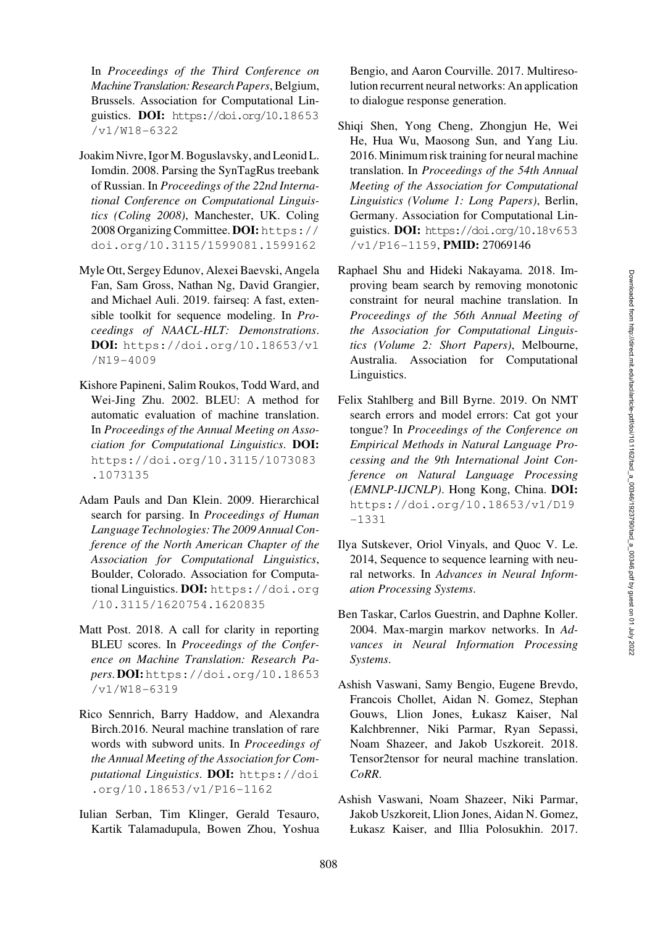In *Proceedings of the Third Conference on Machine Translation: Research Papers*, Belgium, Brussels. Association for Computational Linguistics. DOI: [https://doi.org/10.18653](https://doi.org/10.18653/v1/W18-6322) [/v1/W18-6322](https://doi.org/10.18653/v1/W18-6322)

- <span id="page-13-2"></span>Joakim Nivre, Igor M. Boguslavsky, and Leonid L. Iomdin. 2008. Parsing the SynTagRus treebank of Russian. In *Proceedings of the 22nd International Conference on Computational Linguistics (Coling 2008)*, Manchester, UK. Coling 2008 Organizing Committee. DOI: [https://](https://doi.org/10.3115/1599081.1599162) [doi.org/10.3115/1599081.1599162](https://doi.org/10.3115/1599081.1599162)
- <span id="page-13-8"></span>Myle Ott, Sergey Edunov, Alexei Baevski, Angela Fan, Sam Gross, Nathan Ng, David Grangier, and Michael Auli. 2019. fairseq: A fast, extensible toolkit for sequence modeling. In *Proceedings of NAACL-HLT: Demonstrations*. DOI: [https://doi.org/10.18653/v1](https://doi.org/10.18653/v1/N19-4009) [/N19-4009](https://doi.org/10.18653/v1/N19-4009)
- <span id="page-13-11"></span>Kishore Papineni, Salim Roukos, Todd Ward, and Wei-Jing Zhu. 2002. BLEU: A method for automatic evaluation of machine translation. In *Proceedings of the Annual Meeting on Association for Computational Linguistics*. DOI: [https://doi.org/10.3115/1073083](https://doi.org/10.3115/1073083.1073135) [.1073135](https://doi.org/10.3115/1073083.1073135)
- <span id="page-13-13"></span>Adam Pauls and Dan Klein. 2009. Hierarchical search for parsing. In *Proceedings of Human Language Technologies: The 2009 Annual Conference of the North American Chapter of the Association for Computational Linguistics*, Boulder, Colorado. Association for Computational Linguistics. DOI: [https://doi.org](https://doi.org/10.3115/1620754.1620835) [/10.3115/1620754.1620835](https://doi.org/10.3115/1620754.1620835)
- <span id="page-13-12"></span>Matt Post. 2018. A call for clarity in reporting BLEU scores. In *Proceedings of the Conference on Machine Translation: Research Papers*. DOI:[https://doi.org/10.18653](https://doi.org/10.18653/v1/W18-6319) [/v1/W18-6319](https://doi.org/10.18653/v1/W18-6319)
- <span id="page-13-10"></span>Rico Sennrich, Barry Haddow, and Alexandra Birch.2016. Neural machine translation of rare words with subword units. In *Proceedings of the Annual Meeting of the Association for Computational Linguistics*. DOI: [https://doi](https://doi.org/10.18653/v1/P16-1162) [.org/10.18653/v1/P16-1162](https://doi.org/10.18653/v1/P16-1162)
- <span id="page-13-5"></span>Iulian Serban, Tim Klinger, Gerald Tesauro, Kartik Talamadupula, Bowen Zhou, Yoshua

Bengio, and Aaron Courville. 2017. Multiresolution recurrent neural networks: An application to dialogue response generation.

- <span id="page-13-6"></span>Shiqi Shen, Yong Cheng, Zhongjun He, Wei He, Hua Wu, Maosong Sun, and Yang Liu. 2016. Minimum risk training for neural machine translation. In *Proceedings of the 54th Annual Meeting of the Association for Computational Linguistics (Volume 1: Long Papers)*, Berlin, Germany. Association for Computational Linguistics. DOI: [https://doi.org/10.18v653](https://doi.org/10.18653/v1/P16-1159) [/v1/P16-1159](https://doi.org/10.18653/v1/P16-1159), PMID: [27069146](https://europepmc.org/article/MED/27069146)
- <span id="page-13-1"></span>Raphael Shu and Hideki Nakayama. 2018. Improving beam search by removing monotonic constraint for neural machine translation. In *Proceedings of the 56th Annual Meeting of the Association for Computational Linguistics (Volume 2: Short Papers)*, Melbourne, Australia. Association for Computational Linguistics.
- <span id="page-13-0"></span>Felix Stahlberg and Bill Byrne. 2019. On NMT search errors and model errors: Cat got your tongue? In *Proceedings of the Conference on Empirical Methods in Natural Language Processing and the 9th International Joint Conference on Natural Language Processing (EMNLP-IJCNLP)*. Hong Kong, China. DOI: [https://doi.org/10.18653/v1/D19](https://doi.org/10.18653/v1/D19-1331) [-1331](https://doi.org/10.18653/v1/D19-1331)
- <span id="page-13-4"></span>Ilya Sutskever, Oriol Vinyals, and Quoc V. Le. 2014, Sequence to sequence learning with neural networks. In *Advances in Neural Information Processing Systems*.
- <span id="page-13-3"></span>Ben Taskar, Carlos Guestrin, and Daphne Koller. 2004. Max-margin markov networks. In *Advances in Neural Information Processing Systems*.
- <span id="page-13-9"></span>Ashish Vaswani, Samy Bengio, Eugene Brevdo, Francois Chollet, Aidan N. Gomez, Stephan Gouws, Llion Jones, Łukasz Kaiser, Nal Kalchbrenner, Niki Parmar, Ryan Sepassi, Noam Shazeer, and Jakob Uszkoreit. 2018. Tensor2tensor for neural machine translation. *CoRR*.
- <span id="page-13-7"></span>Ashish Vaswani, Noam Shazeer, Niki Parmar, Jakob Uszkoreit, Llion Jones, Aidan N. Gomez, Łukasz Kaiser, and Illia Polosukhin. 2017.